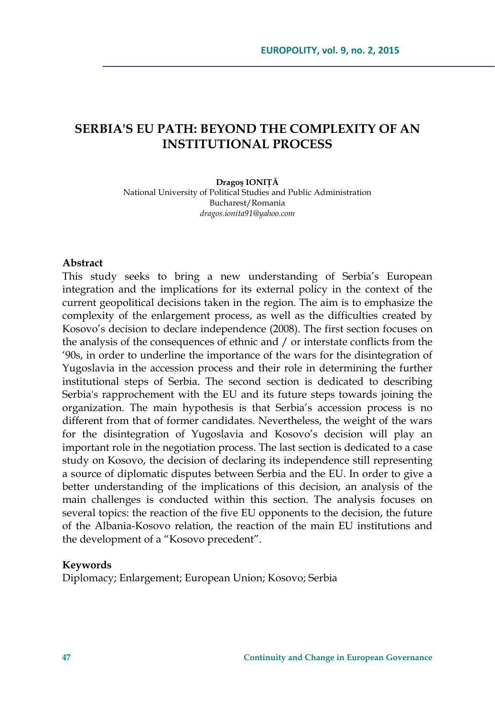# **SERBIA'S EU PATH: BEYOND THE COMPLEXITY OF AN INSTITUTIONAL PROCESS**

#### **Dragoş IONIŢĂ**

National University of Political Studies and Public Administration Bucharest/Romania *dragos.ionita91@yahoo.com* 

#### **Abstract**

This study seeks to bring a new understanding of Serbia's European integration and the implications for its external policy in the context of the current geopolitical decisions taken in the region. The aim is to emphasize the complexity of the enlargement process, as well as the difficulties created by Kosovo's decision to declare independence (2008). The first section focuses on the analysis of the consequences of ethnic and / or interstate conflicts from the '90s, in order to underline the importance of the wars for the disintegration of Yugoslavia in the accession process and their role in determining the further institutional steps of Serbia. The second section is dedicated to describing Serbia's rapprochement with the EU and its future steps towards joining the organization. The main hypothesis is that Serbia's accession process is no different from that of former candidates. Nevertheless, the weight of the wars for the disintegration of Yugoslavia and Kosovo's decision will play an important role in the negotiation process. The last section is dedicated to a case study on Kosovo, the decision of declaring its independence still representing a source of diplomatic disputes between Serbia and the EU. In order to give a better understanding of the implications of this decision, an analysis of the main challenges is conducted within this section. The analysis focuses on several topics: the reaction of the five EU opponents to the decision, the future of the Albania-Kosovo relation, the reaction of the main EU institutions and the development of a "Kosovo precedent".

#### **Keywords**

Diplomacy; Enlargement; European Union; Kosovo; Serbia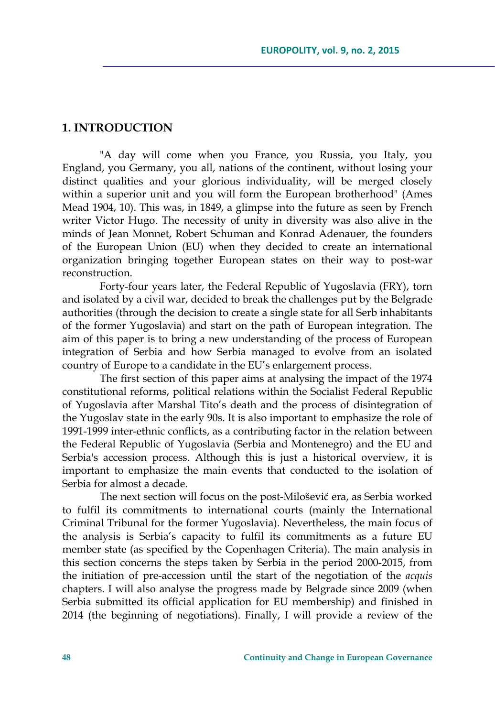#### **1. INTRODUCTION**

"A day will come when you France, you Russia, you Italy, you England, you Germany, you all, nations of the continent, without losing your distinct qualities and your glorious individuality, will be merged closely within a superior unit and you will form the European brotherhood" (Ames Mead 1904, 10). This was, in 1849, a glimpse into the future as seen by French writer Victor Hugo. The necessity of unity in diversity was also alive in the minds of Jean Monnet, Robert Schuman and Konrad Adenauer, the founders of the European Union (EU) when they decided to create an international organization bringing together European states on their way to post-war reconstruction.

Forty-four years later, the Federal Republic of Yugoslavia (FRY), torn and isolated by a civil war, decided to break the challenges put by the Belgrade authorities (through the decision to create a single state for all Serb inhabitants of the former Yugoslavia) and start on the path of European integration. The aim of this paper is to bring a new understanding of the process of European integration of Serbia and how Serbia managed to evolve from an isolated country of Europe to a candidate in the EU's enlargement process.

The first section of this paper aims at analysing the impact of the 1974 constitutional reforms, political relations within the Socialist Federal Republic of Yugoslavia after Marshal Tito's death and the process of disintegration of the Yugoslav state in the early 90s. It is also important to emphasize the role of 1991-1999 inter-ethnic conflicts, as a contributing factor in the relation between the Federal Republic of Yugoslavia (Serbia and Montenegro) and the EU and Serbia's accession process. Although this is just a historical overview, it is important to emphasize the main events that conducted to the isolation of Serbia for almost a decade.

The next section will focus on the post-Milošević era, as Serbia worked to fulfil its commitments to international courts (mainly the International Criminal Tribunal for the former Yugoslavia). Nevertheless, the main focus of the analysis is Serbia's capacity to fulfil its commitments as a future EU member state (as specified by the Copenhagen Criteria). The main analysis in this section concerns the steps taken by Serbia in the period 2000-2015, from the initiation of pre-accession until the start of the negotiation of the *acquis* chapters. I will also analyse the progress made by Belgrade since 2009 (when Serbia submitted its official application for EU membership) and finished in 2014 (the beginning of negotiations). Finally, I will provide a review of the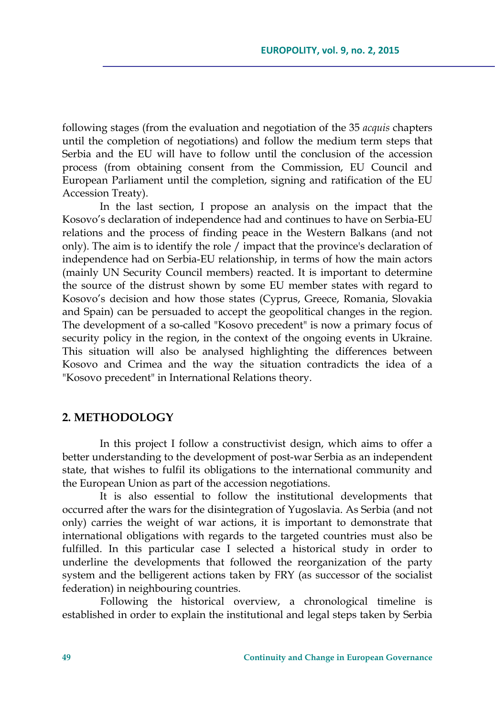following stages (from the evaluation and negotiation of the 35 *acquis* chapters until the completion of negotiations) and follow the medium term steps that Serbia and the EU will have to follow until the conclusion of the accession process (from obtaining consent from the Commission, EU Council and European Parliament until the completion, signing and ratification of the EU Accession Treaty).

In the last section, I propose an analysis on the impact that the Kosovo's declaration of independence had and continues to have on Serbia-EU relations and the process of finding peace in the Western Balkans (and not only). The aim is to identify the role / impact that the province's declaration of independence had on Serbia-EU relationship, in terms of how the main actors (mainly UN Security Council members) reacted. It is important to determine the source of the distrust shown by some EU member states with regard to Kosovo's decision and how those states (Cyprus, Greece, Romania, Slovakia and Spain) can be persuaded to accept the geopolitical changes in the region. The development of a so-called "Kosovo precedent" is now a primary focus of security policy in the region, in the context of the ongoing events in Ukraine. This situation will also be analysed highlighting the differences between Kosovo and Crimea and the way the situation contradicts the idea of a "Kosovo precedent" in International Relations theory.

### **2. METHODOLOGY**

In this project I follow a constructivist design, which aims to offer a better understanding to the development of post-war Serbia as an independent state, that wishes to fulfil its obligations to the international community and the European Union as part of the accession negotiations.

It is also essential to follow the institutional developments that occurred after the wars for the disintegration of Yugoslavia. As Serbia (and not only) carries the weight of war actions, it is important to demonstrate that international obligations with regards to the targeted countries must also be fulfilled. In this particular case I selected a historical study in order to underline the developments that followed the reorganization of the party system and the belligerent actions taken by FRY (as successor of the socialist federation) in neighbouring countries.

Following the historical overview, a chronological timeline is established in order to explain the institutional and legal steps taken by Serbia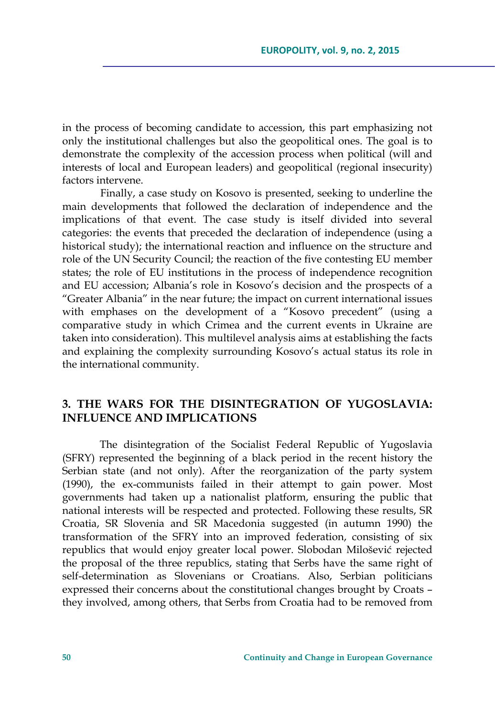in the process of becoming candidate to accession, this part emphasizing not only the institutional challenges but also the geopolitical ones. The goal is to demonstrate the complexity of the accession process when political (will and interests of local and European leaders) and geopolitical (regional insecurity) factors intervene.

Finally, a case study on Kosovo is presented, seeking to underline the main developments that followed the declaration of independence and the implications of that event. The case study is itself divided into several categories: the events that preceded the declaration of independence (using a historical study); the international reaction and influence on the structure and role of the UN Security Council; the reaction of the five contesting EU member states; the role of EU institutions in the process of independence recognition and EU accession; Albania's role in Kosovo's decision and the prospects of a "Greater Albania" in the near future; the impact on current international issues with emphases on the development of a "Kosovo precedent" (using a comparative study in which Crimea and the current events in Ukraine are taken into consideration). This multilevel analysis aims at establishing the facts and explaining the complexity surrounding Kosovo's actual status its role in the international community.

## **3. THE WARS FOR THE DISINTEGRATION OF YUGOSLAVIA: INFLUENCE AND IMPLICATIONS**

The disintegration of the Socialist Federal Republic of Yugoslavia (SFRY) represented the beginning of a black period in the recent history the Serbian state (and not only). After the reorganization of the party system (1990), the ex-communists failed in their attempt to gain power. Most governments had taken up a nationalist platform, ensuring the public that national interests will be respected and protected. Following these results, SR Croatia, SR Slovenia and SR Macedonia suggested (in autumn 1990) the transformation of the SFRY into an improved federation, consisting of six republics that would enjoy greater local power. Slobodan Milošević rejected the proposal of the three republics, stating that Serbs have the same right of self-determination as Slovenians or Croatians. Also, Serbian politicians expressed their concerns about the constitutional changes brought by Croats – they involved, among others, that Serbs from Croatia had to be removed from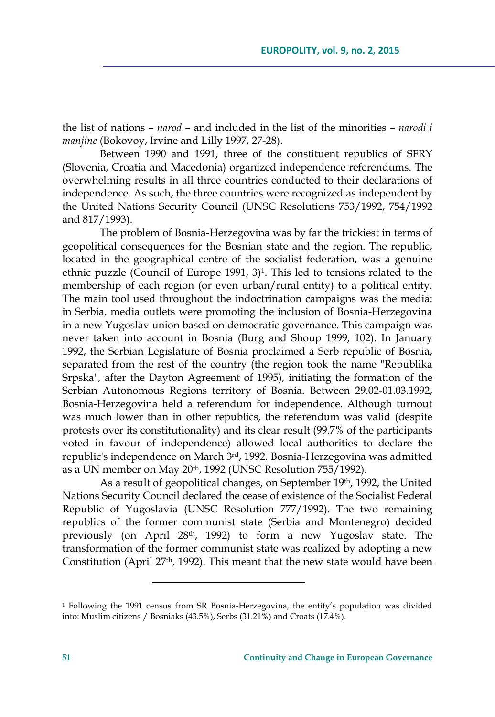the list of nations – *narod* – and included in the list of the minorities – *narodi i manjine* (Bokovoy, Irvine and Lilly 1997, 27-28).

Between 1990 and 1991, three of the constituent republics of SFRY (Slovenia, Croatia and Macedonia) organized independence referendums. The overwhelming results in all three countries conducted to their declarations of independence. As such, the three countries were recognized as independent by the United Nations Security Council (UNSC Resolutions 753/1992, 754/1992 and 817/1993).

The problem of Bosnia-Herzegovina was by far the trickiest in terms of geopolitical consequences for the Bosnian state and the region. The republic, located in the geographical centre of the socialist federation, was a genuine ethnic puzzle (Council of Europe 1991, 3)1. This led to tensions related to the membership of each region (or even urban/rural entity) to a political entity. The main tool used throughout the indoctrination campaigns was the media: in Serbia, media outlets were promoting the inclusion of Bosnia-Herzegovina in a new Yugoslav union based on democratic governance. This campaign was never taken into account in Bosnia (Burg and Shoup 1999, 102). In January 1992, the Serbian Legislature of Bosnia proclaimed a Serb republic of Bosnia, separated from the rest of the country (the region took the name "Republika Srpska", after the Dayton Agreement of 1995), initiating the formation of the Serbian Autonomous Regions territory of Bosnia. Between 29.02-01.03.1992, Bosnia-Herzegovina held a referendum for independence. Although turnout was much lower than in other republics, the referendum was valid (despite protests over its constitutionality) and its clear result (99.7% of the participants voted in favour of independence) allowed local authorities to declare the republic's independence on March 3rd, 1992. Bosnia-Herzegovina was admitted as a UN member on May 20<sup>th</sup>, 1992 (UNSC Resolution 755/1992).

As a result of geopolitical changes, on September 19th, 1992, the United Nations Security Council declared the cease of existence of the Socialist Federal Republic of Yugoslavia (UNSC Resolution 777/1992). The two remaining republics of the former communist state (Serbia and Montenegro) decided previously (on April 28th, 1992) to form a new Yugoslav state. The transformation of the former communist state was realized by adopting a new Constitution (April 27<sup>th</sup>, 1992). This meant that the new state would have been

<u> 1989 - Johann Barn, mars eta inperiodo</u>

<sup>1</sup> Following the 1991 census from SR Bosnia-Herzegovina, the entity's population was divided into: Muslim citizens / Bosniaks (43.5%), Serbs (31.21%) and Croats (17.4%).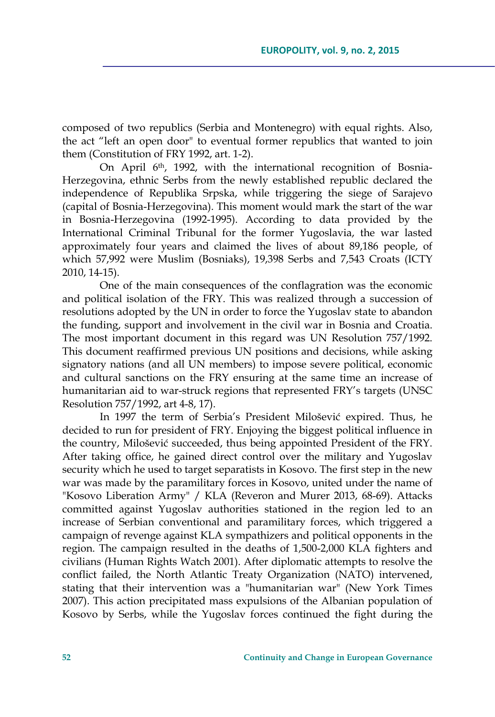composed of two republics (Serbia and Montenegro) with equal rights. Also, the act "left an open door" to eventual former republics that wanted to join them (Constitution of FRY 1992, art. 1-2).

On April 6th, 1992, with the international recognition of Bosnia-Herzegovina, ethnic Serbs from the newly established republic declared the independence of Republika Srpska, while triggering the siege of Sarajevo (capital of Bosnia-Herzegovina). This moment would mark the start of the war in Bosnia-Herzegovina (1992-1995). According to data provided by the International Criminal Tribunal for the former Yugoslavia, the war lasted approximately four years and claimed the lives of about 89,186 people, of which 57,992 were Muslim (Bosniaks), 19,398 Serbs and 7,543 Croats (ICTY 2010, 14-15).

One of the main consequences of the conflagration was the economic and political isolation of the FRY. This was realized through a succession of resolutions adopted by the UN in order to force the Yugoslav state to abandon the funding, support and involvement in the civil war in Bosnia and Croatia. The most important document in this regard was UN Resolution 757/1992. This document reaffirmed previous UN positions and decisions, while asking signatory nations (and all UN members) to impose severe political, economic and cultural sanctions on the FRY ensuring at the same time an increase of humanitarian aid to war-struck regions that represented FRY's targets (UNSC Resolution 757/1992, art 4-8, 17).

In 1997 the term of Serbia's President Milošević expired. Thus, he decided to run for president of FRY. Enjoying the biggest political influence in the country, Milošević succeeded, thus being appointed President of the FRY. After taking office, he gained direct control over the military and Yugoslav security which he used to target separatists in Kosovo. The first step in the new war was made by the paramilitary forces in Kosovo, united under the name of "Kosovo Liberation Army" / KLA (Reveron and Murer 2013, 68-69). Attacks committed against Yugoslav authorities stationed in the region led to an increase of Serbian conventional and paramilitary forces, which triggered a campaign of revenge against KLA sympathizers and political opponents in the region. The campaign resulted in the deaths of 1,500-2,000 KLA fighters and civilians (Human Rights Watch 2001). After diplomatic attempts to resolve the conflict failed, the North Atlantic Treaty Organization (NATO) intervened, stating that their intervention was a "humanitarian war" (New York Times 2007). This action precipitated mass expulsions of the Albanian population of Kosovo by Serbs, while the Yugoslav forces continued the fight during the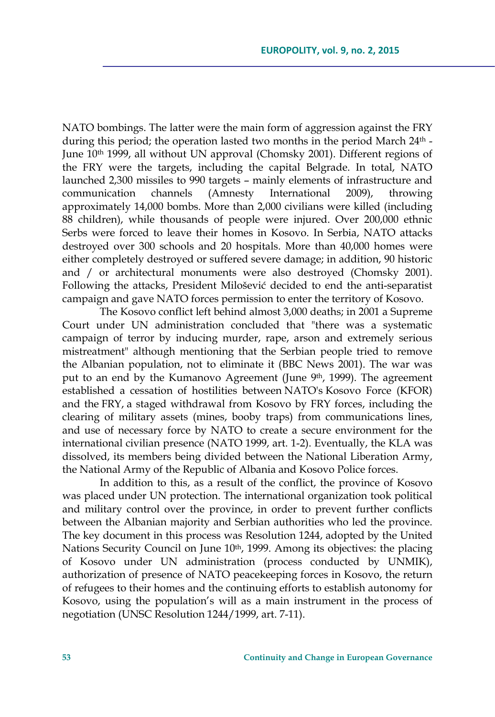NATO bombings. The latter were the main form of aggression against the FRY during this period; the operation lasted two months in the period March 24<sup>th</sup> -June  $10<sup>th</sup> 1999$ , all without UN approval (Chomsky 2001). Different regions of the FRY were the targets, including the capital Belgrade. In total, NATO launched 2,300 missiles to 990 targets – mainly elements of infrastructure and communication channels (Amnesty International 2009), throwing approximately 14,000 bombs. More than 2,000 civilians were killed (including 88 children), while thousands of people were injured. Over 200,000 ethnic Serbs were forced to leave their homes in Kosovo. In Serbia, NATO attacks destroyed over 300 schools and 20 hospitals. More than 40,000 homes were either completely destroyed or suffered severe damage; in addition, 90 historic and / or architectural monuments were also destroyed (Chomsky 2001). Following the attacks, President Milošević decided to end the anti-separatist campaign and gave NATO forces permission to enter the territory of Kosovo.

The Kosovo conflict left behind almost 3,000 deaths; in 2001 a Supreme Court under UN administration concluded that "there was a systematic campaign of terror by inducing murder, rape, arson and extremely serious mistreatment" although mentioning that the Serbian people tried to remove the Albanian population, not to eliminate it (BBC News 2001). The war was put to an end by the Kumanovo Agreement (June 9th, 1999). The agreement established a cessation of hostilities between NATO's Kosovo Force (KFOR) and the FRY, a staged withdrawal from Kosovo by FRY forces, including the clearing of military assets (mines, booby traps) from communications lines, and use of necessary force by NATO to create a secure environment for the international civilian presence (NATO 1999, art. 1-2). Eventually, the KLA was dissolved, its members being divided between the National Liberation Army, the National Army of the Republic of Albania and Kosovo Police forces.

In addition to this, as a result of the conflict, the province of Kosovo was placed under UN protection. The international organization took political and military control over the province, in order to prevent further conflicts between the Albanian majority and Serbian authorities who led the province. The key document in this process was Resolution 1244, adopted by the United Nations Security Council on June 10<sup>th</sup>, 1999. Among its objectives: the placing of Kosovo under UN administration (process conducted by UNMIK), authorization of presence of NATO peacekeeping forces in Kosovo, the return of refugees to their homes and the continuing efforts to establish autonomy for Kosovo, using the population's will as a main instrument in the process of negotiation (UNSC Resolution 1244/1999, art. 7-11).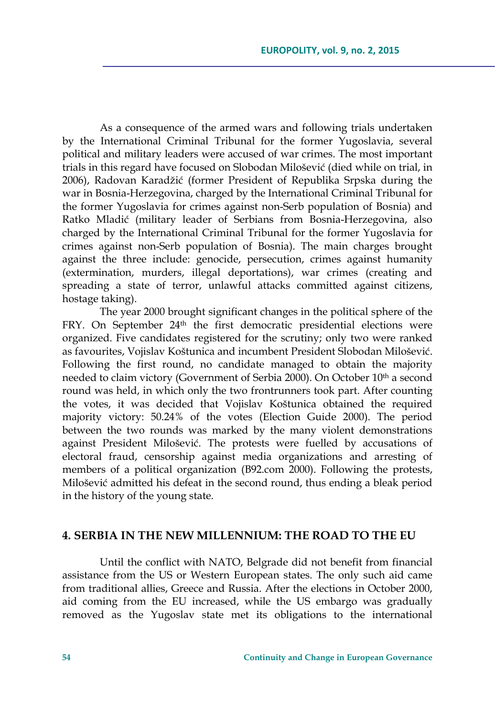As a consequence of the armed wars and following trials undertaken by the International Criminal Tribunal for the former Yugoslavia, several political and military leaders were accused of war crimes. The most important trials in this regard have focused on Slobodan Milošević (died while on trial, in 2006), Radovan Karadžić (former President of Republika Srpska during the war in Bosnia-Herzegovina, charged by the International Criminal Tribunal for the former Yugoslavia for crimes against non-Serb population of Bosnia) and Ratko Mladić (military leader of Serbians from Bosnia-Herzegovina, also charged by the International Criminal Tribunal for the former Yugoslavia for crimes against non-Serb population of Bosnia). The main charges brought against the three include: genocide, persecution, crimes against humanity (extermination, murders, illegal deportations), war crimes (creating and spreading a state of terror, unlawful attacks committed against citizens, hostage taking).

The year 2000 brought significant changes in the political sphere of the FRY. On September 24<sup>th</sup> the first democratic presidential elections were organized. Five candidates registered for the scrutiny; only two were ranked as favourites, Vojislav Koštunica and incumbent President Slobodan Milošević. Following the first round, no candidate managed to obtain the majority needed to claim victory (Government of Serbia 2000). On October 10<sup>th</sup> a second round was held, in which only the two frontrunners took part. After counting the votes, it was decided that Vojislav Koštunica obtained the required majority victory: 50.24% of the votes (Election Guide 2000). The period between the two rounds was marked by the many violent demonstrations against President Milošević. The protests were fuelled by accusations of electoral fraud, censorship against media organizations and arresting of members of a political organization (B92.com 2000). Following the protests, Milošević admitted his defeat in the second round, thus ending a bleak period in the history of the young state.

### **4. SERBIA IN THE NEW MILLENNIUM: THE ROAD TO THE EU**

Until the conflict with NATO, Belgrade did not benefit from financial assistance from the US or Western European states. The only such aid came from traditional allies, Greece and Russia. After the elections in October 2000, aid coming from the EU increased, while the US embargo was gradually removed as the Yugoslav state met its obligations to the international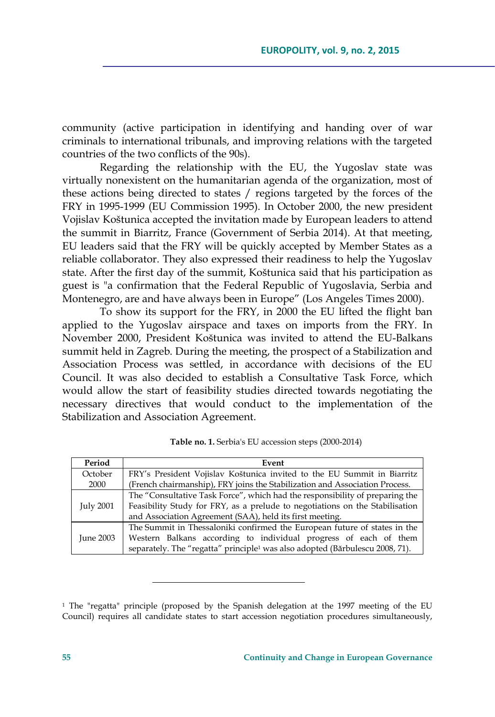community (active participation in identifying and handing over of war criminals to international tribunals, and improving relations with the targeted countries of the two conflicts of the 90s).

Regarding the relationship with the EU, the Yugoslav state was virtually nonexistent on the humanitarian agenda of the organization, most of these actions being directed to states / regions targeted by the forces of the FRY in 1995-1999 (EU Commission 1995). In October 2000, the new president Vojislav Koštunica accepted the invitation made by European leaders to attend the summit in Biarritz, France (Government of Serbia 2014). At that meeting, EU leaders said that the FRY will be quickly accepted by Member States as a reliable collaborator. They also expressed their readiness to help the Yugoslav state. After the first day of the summit, Koštunica said that his participation as guest is "a confirmation that the Federal Republic of Yugoslavia, Serbia and Montenegro, are and have always been in Europe" (Los Angeles Times 2000).

To show its support for the FRY, in 2000 the EU lifted the flight ban applied to the Yugoslav airspace and taxes on imports from the FRY. In November 2000, President Koštunica was invited to attend the EU-Balkans summit held in Zagreb. During the meeting, the prospect of a Stabilization and Association Process was settled, in accordance with decisions of the EU Council. It was also decided to establish a Consultative Task Force, which would allow the start of feasibility studies directed towards negotiating the necessary directives that would conduct to the implementation of the Stabilization and Association Agreement.

| Period    | Event                                                                                    |
|-----------|------------------------------------------------------------------------------------------|
| October   | FRY's President Vojislav Koštunica invited to the EU Summit in Biarritz                  |
| 2000      | (French chairmanship), FRY joins the Stabilization and Association Process.              |
| July 2001 | The "Consultative Task Force", which had the responsibility of preparing the             |
|           | Feasibility Study for FRY, as a prelude to negotiations on the Stabilisation             |
|           | and Association Agreement (SAA), held its first meeting.                                 |
| June 2003 | The Summit in Thessaloniki confirmed the European future of states in the                |
|           | Western Balkans according to individual progress of each of them                         |
|           | separately. The "regatta" principle <sup>1</sup> was also adopted (Bărbulescu 2008, 71). |

| Table no. 1. Serbia's EU accession steps (2000-2014) |  |  |
|------------------------------------------------------|--|--|
|------------------------------------------------------|--|--|

<u> 1989 - Johann Barn, mars eta inperiodo</u>

<sup>1</sup> The "regatta" principle (proposed by the Spanish delegation at the 1997 meeting of the EU Council) requires all candidate states to start accession negotiation procedures simultaneously,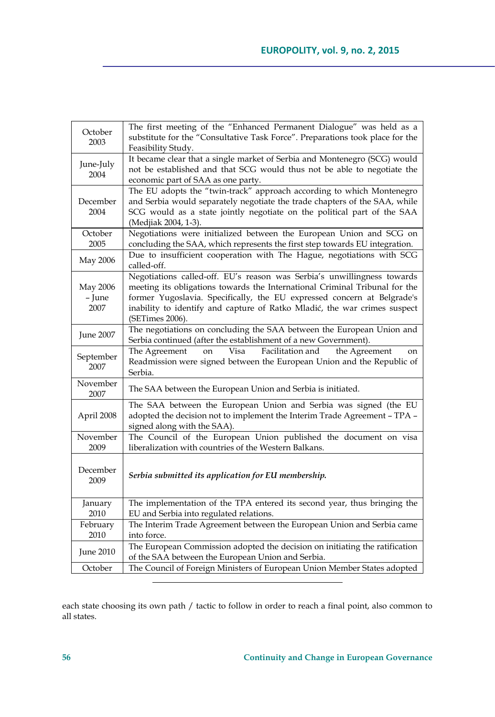| October<br>2003            | The first meeting of the "Enhanced Permanent Dialogue" was held as a<br>substitute for the "Consultative Task Force". Preparations took place for the<br>Feasibility Study.                                                                                                                                                       |
|----------------------------|-----------------------------------------------------------------------------------------------------------------------------------------------------------------------------------------------------------------------------------------------------------------------------------------------------------------------------------|
| June-July<br>2004          | It became clear that a single market of Serbia and Montenegro (SCG) would<br>not be established and that SCG would thus not be able to negotiate the<br>economic part of SAA as one party.                                                                                                                                        |
| December<br>2004           | The EU adopts the "twin-track" approach according to which Montenegro<br>and Serbia would separately negotiate the trade chapters of the SAA, while<br>SCG would as a state jointly negotiate on the political part of the SAA<br>(Medjiak 2004, 1-3).                                                                            |
| October<br>2005            | Negotiations were initialized between the European Union and SCG on<br>concluding the SAA, which represents the first step towards EU integration.                                                                                                                                                                                |
| May 2006                   | Due to insufficient cooperation with The Hague, negotiations with SCG<br>called-off.                                                                                                                                                                                                                                              |
| May 2006<br>- June<br>2007 | Negotiations called-off. EU's reason was Serbia's unwillingness towards<br>meeting its obligations towards the International Criminal Tribunal for the<br>former Yugoslavia. Specifically, the EU expressed concern at Belgrade's<br>inability to identify and capture of Ratko Mladić, the war crimes suspect<br>(SETimes 2006). |
| June 2007                  | The negotiations on concluding the SAA between the European Union and<br>Serbia continued (after the establishment of a new Government).                                                                                                                                                                                          |
| September<br>2007          | Visa<br>Facilitation and<br>the Agreement<br>The Agreement<br>on<br><sub>on</sub><br>Readmission were signed between the European Union and the Republic of<br>Serbia.                                                                                                                                                            |
| November<br>2007           | The SAA between the European Union and Serbia is initiated.                                                                                                                                                                                                                                                                       |
| April 2008                 | The SAA between the European Union and Serbia was signed (the EU<br>adopted the decision not to implement the Interim Trade Agreement - TPA -<br>signed along with the SAA).                                                                                                                                                      |
| November<br>2009           | The Council of the European Union published the document on visa<br>liberalization with countries of the Western Balkans.                                                                                                                                                                                                         |
| December<br>2009           | Serbia submitted its application for EU membership.                                                                                                                                                                                                                                                                               |
| January<br>2010            | The implementation of the TPA entered its second year, thus bringing the<br>EU and Serbia into regulated relations.                                                                                                                                                                                                               |
| February<br>2010           | The Interim Trade Agreement between the European Union and Serbia came<br>into force.                                                                                                                                                                                                                                             |
| June 2010                  | The European Commission adopted the decision on initiating the ratification<br>of the SAA between the European Union and Serbia.                                                                                                                                                                                                  |
| October                    | The Council of Foreign Ministers of European Union Member States adopted                                                                                                                                                                                                                                                          |

each state choosing its own path / tactic to follow in order to reach a final point, also common to all states.

<u> 1989 - Johann Barn, mars eta bainar eta industrial eta industrial eta industrial eta industrial eta industria</u>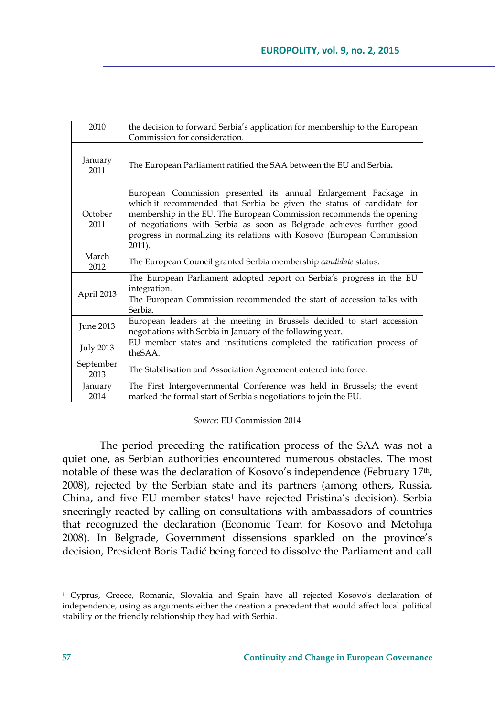| 2010              | the decision to forward Serbia's application for membership to the European<br>Commission for consideration.                                                                                                                                                                                                                                                                  |
|-------------------|-------------------------------------------------------------------------------------------------------------------------------------------------------------------------------------------------------------------------------------------------------------------------------------------------------------------------------------------------------------------------------|
| January<br>2011   | The European Parliament ratified the SAA between the EU and Serbia.                                                                                                                                                                                                                                                                                                           |
| October<br>2011   | European Commission presented its annual Enlargement Package in<br>which it recommended that Serbia be given the status of candidate for<br>membership in the EU. The European Commission recommends the opening<br>of negotiations with Serbia as soon as Belgrade achieves further good<br>progress in normalizing its relations with Kosovo (European Commission<br>2011). |
| March<br>2012     | The European Council granted Serbia membership candidate status.                                                                                                                                                                                                                                                                                                              |
| April 2013        | The European Parliament adopted report on Serbia's progress in the EU<br>integration.                                                                                                                                                                                                                                                                                         |
|                   | The European Commission recommended the start of accession talks with<br>Serbia.                                                                                                                                                                                                                                                                                              |
| June 2013         | European leaders at the meeting in Brussels decided to start accession<br>negotiations with Serbia in January of the following year.                                                                                                                                                                                                                                          |
| <b>July 2013</b>  | EU member states and institutions completed the ratification process of<br>theSAA.                                                                                                                                                                                                                                                                                            |
| September<br>2013 | The Stabilisation and Association Agreement entered into force.                                                                                                                                                                                                                                                                                                               |
| January<br>2014   | The First Intergovernmental Conference was held in Brussels; the event<br>marked the formal start of Serbia's negotiations to join the EU.                                                                                                                                                                                                                                    |

#### *Source*: EU Commission 2014

The period preceding the ratification process of the SAA was not a quiet one, as Serbian authorities encountered numerous obstacles. The most notable of these was the declaration of Kosovo's independence (February 17th, 2008), rejected by the Serbian state and its partners (among others, Russia, China, and five EU member states<sup>1</sup> have rejected Pristina's decision). Serbia sneeringly reacted by calling on consultations with ambassadors of countries that recognized the declaration (Economic Team for Kosovo and Metohija 2008). In Belgrade, Government dissensions sparkled on the province's decision, President Boris Tadić being forced to dissolve the Parliament and call

<sup>1</sup> Cyprus, Greece, Romania, Slovakia and Spain have all rejected Kosovo's declaration of independence, using as arguments either the creation a precedent that would affect local political stability or the friendly relationship they had with Serbia.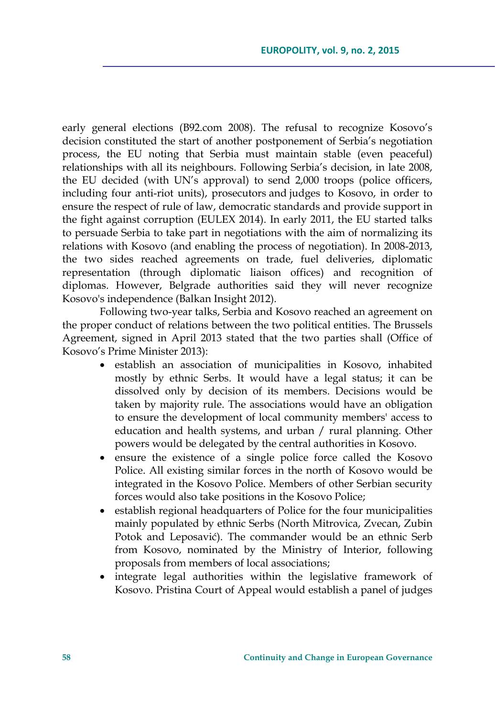early general elections (B92.com 2008). The refusal to recognize Kosovo's decision constituted the start of another postponement of Serbia's negotiation process, the EU noting that Serbia must maintain stable (even peaceful) relationships with all its neighbours. Following Serbia's decision, in late 2008, the EU decided (with UN's approval) to send 2,000 troops (police officers, including four anti-riot units), prosecutors and judges to Kosovo, in order to ensure the respect of rule of law, democratic standards and provide support in the fight against corruption (EULEX 2014). In early 2011, the EU started talks to persuade Serbia to take part in negotiations with the aim of normalizing its relations with Kosovo (and enabling the process of negotiation). In 2008-2013, the two sides reached agreements on trade, fuel deliveries, diplomatic representation (through diplomatic liaison offices) and recognition of diplomas. However, Belgrade authorities said they will never recognize Kosovo's independence (Balkan Insight 2012).

Following two-year talks, Serbia and Kosovo reached an agreement on the proper conduct of relations between the two political entities. The Brussels Agreement, signed in April 2013 stated that the two parties shall (Office of Kosovo's Prime Minister 2013):

- establish an association of municipalities in Kosovo, inhabited mostly by ethnic Serbs. It would have a legal status; it can be dissolved only by decision of its members. Decisions would be taken by majority rule. The associations would have an obligation to ensure the development of local community members' access to education and health systems, and urban / rural planning. Other powers would be delegated by the central authorities in Kosovo.
- ensure the existence of a single police force called the Kosovo Police. All existing similar forces in the north of Kosovo would be integrated in the Kosovo Police. Members of other Serbian security forces would also take positions in the Kosovo Police;
- establish regional headquarters of Police for the four municipalities mainly populated by ethnic Serbs (North Mitrovica, Zvecan, Zubin Potok and Leposavić). The commander would be an ethnic Serb from Kosovo, nominated by the Ministry of Interior, following proposals from members of local associations;
- integrate legal authorities within the legislative framework of Kosovo. Pristina Court of Appeal would establish a panel of judges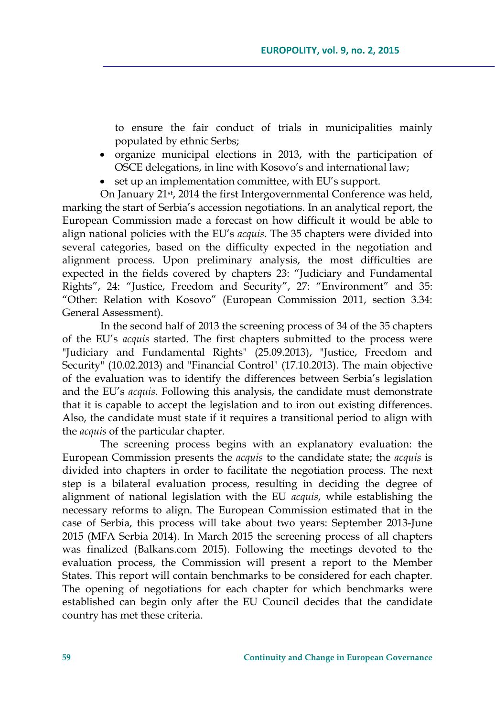to ensure the fair conduct of trials in municipalities mainly populated by ethnic Serbs;

- organize municipal elections in 2013, with the participation of OSCE delegations, in line with Kosovo's and international law;
- set up an implementation committee, with EU's support.

On January 21st, 2014 the first Intergovernmental Conference was held, marking the start of Serbia's accession negotiations. In an analytical report, the European Commission made a forecast on how difficult it would be able to align national policies with the EU's *acquis*. The 35 chapters were divided into several categories, based on the difficulty expected in the negotiation and alignment process. Upon preliminary analysis, the most difficulties are expected in the fields covered by chapters 23: "Judiciary and Fundamental Rights", 24: "Justice, Freedom and Security", 27: "Environment" and 35: "Other: Relation with Kosovo" (European Commission 2011, section 3.34: General Assessment).

In the second half of 2013 the screening process of 34 of the 35 chapters of the EU's *acquis* started. The first chapters submitted to the process were "Judiciary and Fundamental Rights" (25.09.2013), "Justice, Freedom and Security" (10.02.2013) and "Financial Control" (17.10.2013). The main objective of the evaluation was to identify the differences between Serbia's legislation and the EU's *acquis*. Following this analysis, the candidate must demonstrate that it is capable to accept the legislation and to iron out existing differences. Also, the candidate must state if it requires a transitional period to align with the *acquis* of the particular chapter.

The screening process begins with an explanatory evaluation: the European Commission presents the *acquis* to the candidate state; the *acquis* is divided into chapters in order to facilitate the negotiation process. The next step is a bilateral evaluation process, resulting in deciding the degree of alignment of national legislation with the EU *acquis*, while establishing the necessary reforms to align. The European Commission estimated that in the case of Serbia, this process will take about two years: September 2013-June 2015 (MFA Serbia 2014). In March 2015 the screening process of all chapters was finalized (Balkans.com 2015). Following the meetings devoted to the evaluation process, the Commission will present a report to the Member States. This report will contain benchmarks to be considered for each chapter. The opening of negotiations for each chapter for which benchmarks were established can begin only after the EU Council decides that the candidate country has met these criteria.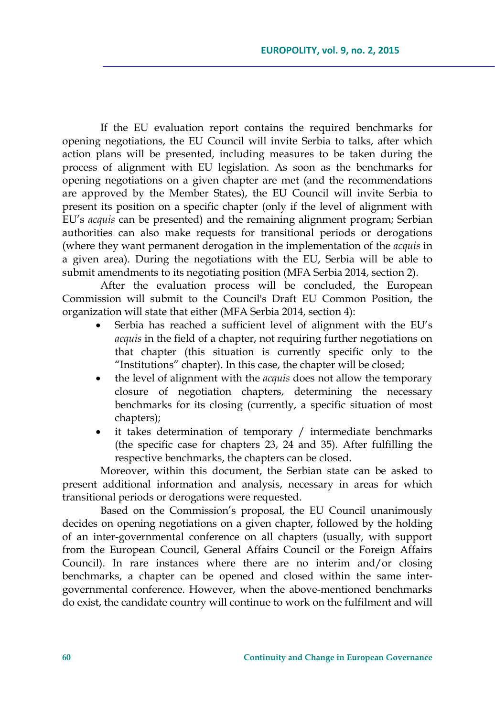If the EU evaluation report contains the required benchmarks for opening negotiations, the EU Council will invite Serbia to talks, after which action plans will be presented, including measures to be taken during the process of alignment with EU legislation. As soon as the benchmarks for opening negotiations on a given chapter are met (and the recommendations are approved by the Member States), the EU Council will invite Serbia to present its position on a specific chapter (only if the level of alignment with EU's *acquis* can be presented) and the remaining alignment program; Serbian authorities can also make requests for transitional periods or derogations (where they want permanent derogation in the implementation of the *acquis* in a given area). During the negotiations with the EU, Serbia will be able to submit amendments to its negotiating position (MFA Serbia 2014, section 2).

After the evaluation process will be concluded, the European Commission will submit to the Council's Draft EU Common Position, the organization will state that either (MFA Serbia 2014, section 4):

- Serbia has reached a sufficient level of alignment with the EU's *acquis* in the field of a chapter, not requiring further negotiations on that chapter (this situation is currently specific only to the "Institutions" chapter). In this case, the chapter will be closed;
- the level of alignment with the *acquis* does not allow the temporary closure of negotiation chapters, determining the necessary benchmarks for its closing (currently, a specific situation of most chapters);
- it takes determination of temporary / intermediate benchmarks (the specific case for chapters 23, 24 and 35). After fulfilling the respective benchmarks, the chapters can be closed.

Moreover, within this document, the Serbian state can be asked to present additional information and analysis, necessary in areas for which transitional periods or derogations were requested.

Based on the Commission's proposal, the EU Council unanimously decides on opening negotiations on a given chapter, followed by the holding of an inter-governmental conference on all chapters (usually, with support from the European Council, General Affairs Council or the Foreign Affairs Council). In rare instances where there are no interim and/or closing benchmarks, a chapter can be opened and closed within the same intergovernmental conference. However, when the above-mentioned benchmarks do exist, the candidate country will continue to work on the fulfilment and will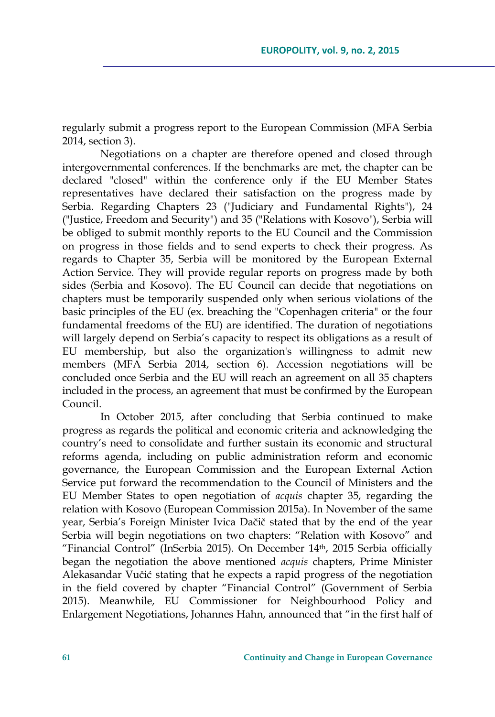regularly submit a progress report to the European Commission (MFA Serbia 2014, section 3).

Negotiations on a chapter are therefore opened and closed through intergovernmental conferences. If the benchmarks are met, the chapter can be declared "closed" within the conference only if the EU Member States representatives have declared their satisfaction on the progress made by Serbia. Regarding Chapters 23 ("Judiciary and Fundamental Rights"), 24 ("Justice, Freedom and Security") and 35 ("Relations with Kosovo"), Serbia will be obliged to submit monthly reports to the EU Council and the Commission on progress in those fields and to send experts to check their progress. As regards to Chapter 35, Serbia will be monitored by the European External Action Service. They will provide regular reports on progress made by both sides (Serbia and Kosovo). The EU Council can decide that negotiations on chapters must be temporarily suspended only when serious violations of the basic principles of the EU (ex. breaching the "Copenhagen criteria" or the four fundamental freedoms of the EU) are identified. The duration of negotiations will largely depend on Serbia's capacity to respect its obligations as a result of EU membership, but also the organization's willingness to admit new members (MFA Serbia 2014, section 6). Accession negotiations will be concluded once Serbia and the EU will reach an agreement on all 35 chapters included in the process, an agreement that must be confirmed by the European Council.

In October 2015, after concluding that Serbia continued to make progress as regards the political and economic criteria and acknowledging the country's need to consolidate and further sustain its economic and structural reforms agenda, including on public administration reform and economic governance, the European Commission and the European External Action Service put forward the recommendation to the Council of Ministers and the EU Member States to open negotiation of *acquis* chapter 35, regarding the relation with Kosovo (European Commission 2015a). In November of the same year, Serbia's Foreign Minister Ivica Dačič stated that by the end of the year Serbia will begin negotiations on two chapters: "Relation with Kosovo" and "Financial Control" (InSerbia 2015). On December 14th, 2015 Serbia officially began the negotiation the above mentioned *acquis* chapters, Prime Minister Alekasandar Vučić stating that he expects a rapid progress of the negotiation in the field covered by chapter "Financial Control" (Government of Serbia 2015). Meanwhile, EU Commissioner for Neighbourhood Policy and Enlargement Negotiations, Johannes Hahn, announced that "in the first half of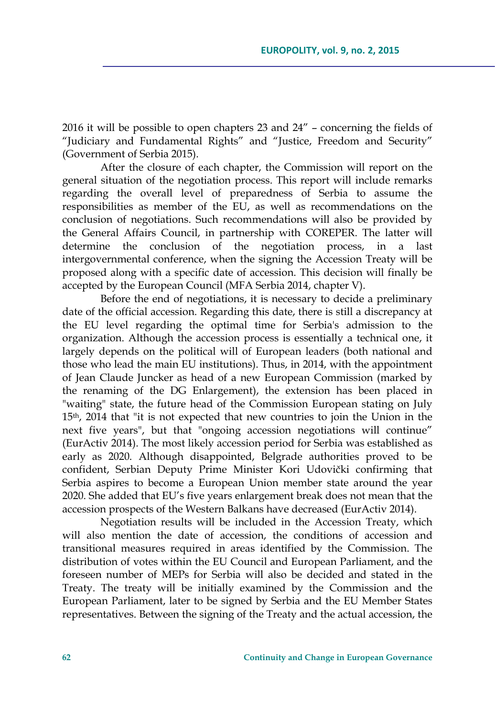2016 it will be possible to open chapters 23 and 24" – concerning the fields of "Judiciary and Fundamental Rights" and "Justice, Freedom and Security" (Government of Serbia 2015).

After the closure of each chapter, the Commission will report on the general situation of the negotiation process. This report will include remarks regarding the overall level of preparedness of Serbia to assume the responsibilities as member of the EU, as well as recommendations on the conclusion of negotiations. Such recommendations will also be provided by the General Affairs Council, in partnership with COREPER. The latter will determine the conclusion of the negotiation process, in a last intergovernmental conference, when the signing the Accession Treaty will be proposed along with a specific date of accession. This decision will finally be accepted by the European Council (MFA Serbia 2014, chapter V).

Before the end of negotiations, it is necessary to decide a preliminary date of the official accession. Regarding this date, there is still a discrepancy at the EU level regarding the optimal time for Serbia's admission to the organization. Although the accession process is essentially a technical one, it largely depends on the political will of European leaders (both national and those who lead the main EU institutions). Thus, in 2014, with the appointment of Jean Claude Juncker as head of a new European Commission (marked by the renaming of the DG Enlargement), the extension has been placed in "waiting" state, the future head of the Commission European stating on July 15th, 2014 that "it is not expected that new countries to join the Union in the next five years", but that "ongoing accession negotiations will continue" (EurActiv 2014). The most likely accession period for Serbia was established as early as 2020. Although disappointed, Belgrade authorities proved to be confident, Serbian Deputy Prime Minister Kori Udovički confirming that Serbia aspires to become a European Union member state around the year 2020. She added that EU's five years enlargement break does not mean that the accession prospects of the Western Balkans have decreased (EurActiv 2014).

Negotiation results will be included in the Accession Treaty, which will also mention the date of accession, the conditions of accession and transitional measures required in areas identified by the Commission. The distribution of votes within the EU Council and European Parliament, and the foreseen number of MEPs for Serbia will also be decided and stated in the Treaty. The treaty will be initially examined by the Commission and the European Parliament, later to be signed by Serbia and the EU Member States representatives. Between the signing of the Treaty and the actual accession, the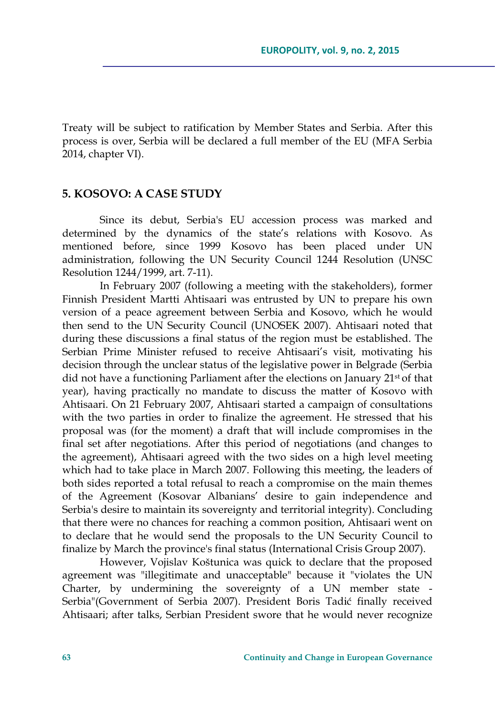Treaty will be subject to ratification by Member States and Serbia. After this process is over, Serbia will be declared a full member of the EU (MFA Serbia 2014, chapter VI).

### **5. KOSOVO: A CASE STUDY**

Since its debut, Serbia's EU accession process was marked and determined by the dynamics of the state's relations with Kosovo. As mentioned before, since 1999 Kosovo has been placed under UN administration, following the UN Security Council 1244 Resolution (UNSC Resolution 1244/1999, art. 7-11).

In February 2007 (following a meeting with the stakeholders), former Finnish President Martti Ahtisaari was entrusted by UN to prepare his own version of a peace agreement between Serbia and Kosovo, which he would then send to the UN Security Council (UNOSEK 2007). Ahtisaari noted that during these discussions a final status of the region must be established. The Serbian Prime Minister refused to receive Ahtisaari's visit, motivating his decision through the unclear status of the legislative power in Belgrade (Serbia did not have a functioning Parliament after the elections on January 21st of that year), having practically no mandate to discuss the matter of Kosovo with Ahtisaari. On 21 February 2007, Ahtisaari started a campaign of consultations with the two parties in order to finalize the agreement. He stressed that his proposal was (for the moment) a draft that will include compromises in the final set after negotiations. After this period of negotiations (and changes to the agreement), Ahtisaari agreed with the two sides on a high level meeting which had to take place in March 2007. Following this meeting, the leaders of both sides reported a total refusal to reach a compromise on the main themes of the Agreement (Kosovar Albanians' desire to gain independence and Serbia's desire to maintain its sovereignty and territorial integrity). Concluding that there were no chances for reaching a common position, Ahtisaari went on to declare that he would send the proposals to the UN Security Council to finalize by March the province's final status (International Crisis Group 2007).

However, Vojislav Koštunica was quick to declare that the proposed agreement was "illegitimate and unacceptable" because it "violates the UN Charter, by undermining the sovereignty of a UN member state - Serbia"(Government of Serbia 2007). President Boris Tadić finally received Ahtisaari; after talks, Serbian President swore that he would never recognize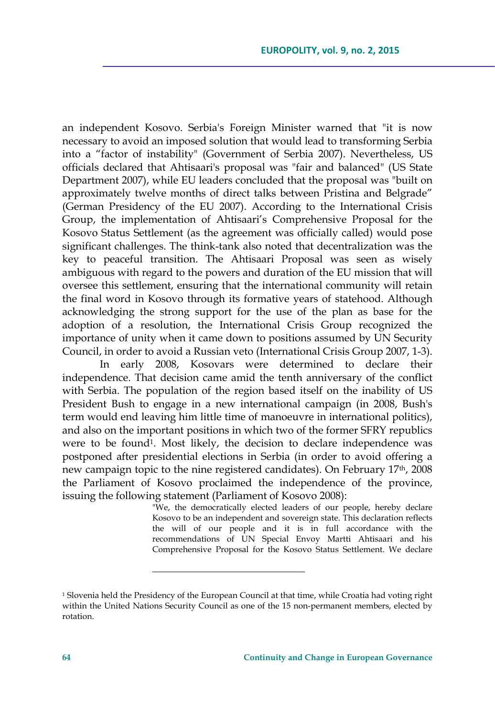an independent Kosovo. Serbia's Foreign Minister warned that "it is now necessary to avoid an imposed solution that would lead to transforming Serbia into a "factor of instability" (Government of Serbia 2007). Nevertheless, US officials declared that Ahtisaari's proposal was "fair and balanced" (US State Department 2007), while EU leaders concluded that the proposal was "built on approximately twelve months of direct talks between Pristina and Belgrade" (German Presidency of the EU 2007). According to the International Crisis Group, the implementation of Ahtisaari's Comprehensive Proposal for the Kosovo Status Settlement (as the agreement was officially called) would pose significant challenges. The think-tank also noted that decentralization was the key to peaceful transition. The Ahtisaari Proposal was seen as wisely ambiguous with regard to the powers and duration of the EU mission that will oversee this settlement, ensuring that the international community will retain the final word in Kosovo through its formative years of statehood. Although acknowledging the strong support for the use of the plan as base for the adoption of a resolution, the International Crisis Group recognized the importance of unity when it came down to positions assumed by UN Security Council, in order to avoid a Russian veto (International Crisis Group 2007, 1-3).

In early 2008, Kosovars were determined to declare their independence. That decision came amid the tenth anniversary of the conflict with Serbia. The population of the region based itself on the inability of US President Bush to engage in a new international campaign (in 2008, Bush's term would end leaving him little time of manoeuvre in international politics), and also on the important positions in which two of the former SFRY republics were to be found<sup>1</sup>. Most likely, the decision to declare independence was postponed after presidential elections in Serbia (in order to avoid offering a new campaign topic to the nine registered candidates). On February 17<sup>th</sup>, 2008 the Parliament of Kosovo proclaimed the independence of the province, issuing the following statement (Parliament of Kosovo 2008):

"We, the democratically elected leaders of our people, hereby declare Kosovo to be an independent and sovereign state. This declaration reflects the will of our people and it is in full accordance with the recommendations of UN Special Envoy Martti Ahtisaari and his Comprehensive Proposal for the Kosovo Status Settlement. We declare

<sup>&</sup>lt;sup>1</sup> Slovenia held the Presidency of the European Council at that time, while Croatia had voting right within the United Nations Security Council as one of the 15 non-permanent members, elected by rotation.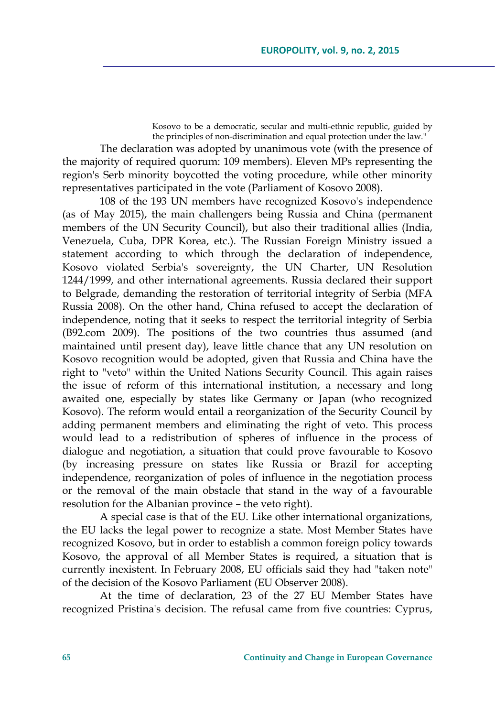Kosovo to be a democratic, secular and multi-ethnic republic, guided by the principles of non-discrimination and equal protection under the law."

The declaration was adopted by unanimous vote (with the presence of the majority of required quorum: 109 members). Eleven MPs representing the region's Serb minority boycotted the voting procedure, while other minority representatives participated in the vote (Parliament of Kosovo 2008).

108 of the 193 UN members have recognized Kosovo's independence (as of May 2015), the main challengers being Russia and China (permanent members of the UN Security Council), but also their traditional allies (India, Venezuela, Cuba, DPR Korea, etc.). The Russian Foreign Ministry issued a statement according to which through the declaration of independence, Kosovo violated Serbia's sovereignty, the UN Charter, UN Resolution 1244/1999, and other international agreements. Russia declared their support to Belgrade, demanding the restoration of territorial integrity of Serbia (MFA Russia 2008). On the other hand, China refused to accept the declaration of independence, noting that it seeks to respect the territorial integrity of Serbia (B92.com 2009). The positions of the two countries thus assumed (and maintained until present day), leave little chance that any UN resolution on Kosovo recognition would be adopted, given that Russia and China have the right to "veto" within the United Nations Security Council. This again raises the issue of reform of this international institution, a necessary and long awaited one, especially by states like Germany or Japan (who recognized Kosovo). The reform would entail a reorganization of the Security Council by adding permanent members and eliminating the right of veto. This process would lead to a redistribution of spheres of influence in the process of dialogue and negotiation, a situation that could prove favourable to Kosovo (by increasing pressure on states like Russia or Brazil for accepting independence, reorganization of poles of influence in the negotiation process or the removal of the main obstacle that stand in the way of a favourable resolution for the Albanian province – the veto right).

A special case is that of the EU. Like other international organizations, the EU lacks the legal power to recognize a state. Most Member States have recognized Kosovo, but in order to establish a common foreign policy towards Kosovo, the approval of all Member States is required, a situation that is currently inexistent. In February 2008, EU officials said they had "taken note" of the decision of the Kosovo Parliament (EU Observer 2008).

At the time of declaration, 23 of the 27 EU Member States have recognized Pristina's decision. The refusal came from five countries: Cyprus,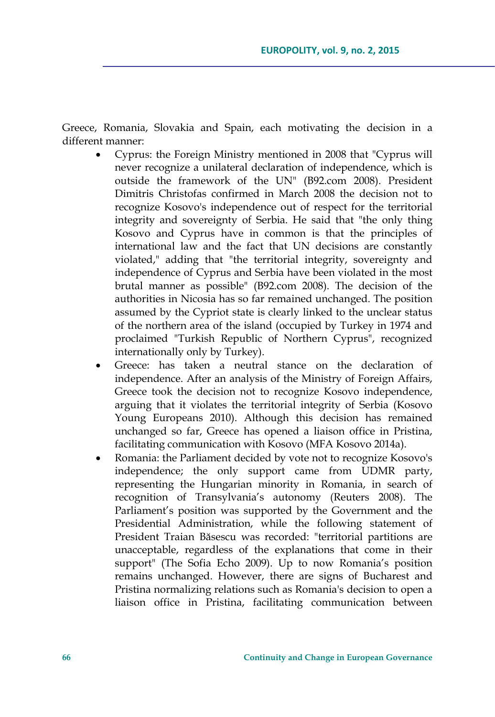Greece, Romania, Slovakia and Spain, each motivating the decision in a different manner:

- Cyprus: the Foreign Ministry mentioned in 2008 that "Cyprus will never recognize a unilateral declaration of independence, which is outside the framework of the UN" (B92.com 2008). President Dimitris Christofas confirmed in March 2008 the decision not to recognize Kosovo's independence out of respect for the territorial integrity and sovereignty of Serbia. He said that "the only thing Kosovo and Cyprus have in common is that the principles of international law and the fact that UN decisions are constantly violated," adding that "the territorial integrity, sovereignty and independence of Cyprus and Serbia have been violated in the most brutal manner as possible" (B92.com 2008). The decision of the authorities in Nicosia has so far remained unchanged. The position assumed by the Cypriot state is clearly linked to the unclear status of the northern area of the island (occupied by Turkey in 1974 and proclaimed "Turkish Republic of Northern Cyprus", recognized internationally only by Turkey).
- Greece: has taken a neutral stance on the declaration of independence. After an analysis of the Ministry of Foreign Affairs, Greece took the decision not to recognize Kosovo independence, arguing that it violates the territorial integrity of Serbia (Kosovo Young Europeans 2010). Although this decision has remained unchanged so far, Greece has opened a liaison office in Pristina, facilitating communication with Kosovo (MFA Kosovo 2014a).
- Romania: the Parliament decided by vote not to recognize Kosovo's independence; the only support came from UDMR party, representing the Hungarian minority in Romania, in search of recognition of Transylvania's autonomy (Reuters 2008). The Parliament's position was supported by the Government and the Presidential Administration, while the following statement of President Traian Băsescu was recorded: "territorial partitions are unacceptable, regardless of the explanations that come in their support" (The Sofia Echo 2009). Up to now Romania's position remains unchanged. However, there are signs of Bucharest and Pristina normalizing relations such as Romania's decision to open a liaison office in Pristina, facilitating communication between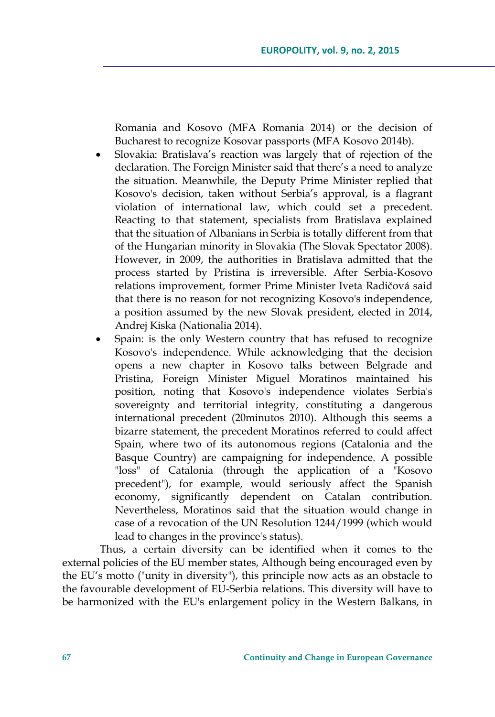Romania and Kosovo (MFA Romania 2014) or the decision of Bucharest to recognize Kosovar passports (MFA Kosovo 2014b).

- Slovakia: Bratislava's reaction was largely that of rejection of the declaration. The Foreign Minister said that there's a need to analyze the situation. Meanwhile, the Deputy Prime Minister replied that Kosovo's decision, taken without Serbia's approval, is a flagrant violation of international law, which could set a precedent. Reacting to that statement, specialists from Bratislava explained that the situation of Albanians in Serbia is totally different from that of the Hungarian minority in Slovakia (The Slovak Spectator 2008). However, in 2009, the authorities in Bratislava admitted that the process started by Pristina is irreversible. After Serbia-Kosovo relations improvement, former Prime Minister Iveta Radičová said that there is no reason for not recognizing Kosovo's independence, a position assumed by the new Slovak president, elected in 2014, Andrej Kiska (Nationalia 2014).
- Spain: is the only Western country that has refused to recognize Kosovo's independence. While acknowledging that the decision opens a new chapter in Kosovo talks between Belgrade and Pristina, Foreign Minister Miguel Moratinos maintained his position, noting that Kosovo's independence violates Serbia's sovereignty and territorial integrity, constituting a dangerous international precedent (20minutos 2010). Although this seems a bizarre statement, the precedent Moratinos referred to could affect Spain, where two of its autonomous regions (Catalonia and the Basque Country) are campaigning for independence. A possible "loss" of Catalonia (through the application of a "Kosovo precedent"), for example, would seriously affect the Spanish economy, significantly dependent on Catalan contribution. Nevertheless, Moratinos said that the situation would change in case of a revocation of the UN Resolution 1244/1999 (which would lead to changes in the province's status).

Thus, a certain diversity can be identified when it comes to the external policies of the EU member states, Although being encouraged even by the EU's motto ("unity in diversity"), this principle now acts as an obstacle to the favourable development of EU-Serbia relations. This diversity will have to be harmonized with the EU's enlargement policy in the Western Balkans, in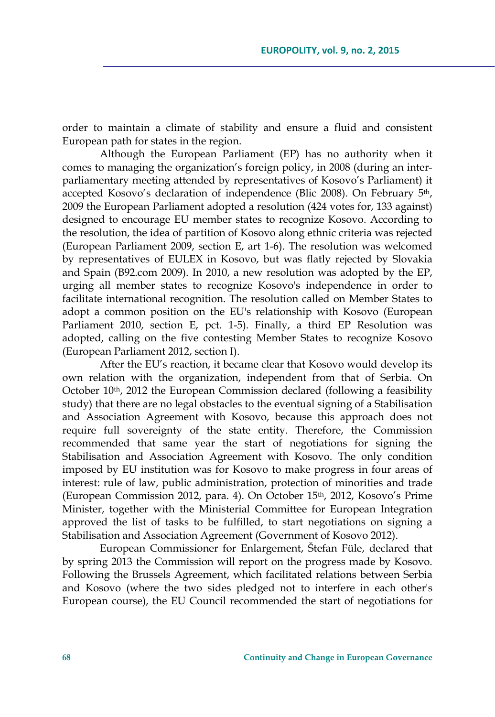order to maintain a climate of stability and ensure a fluid and consistent European path for states in the region.

Although the European Parliament (EP) has no authority when it comes to managing the organization's foreign policy, in 2008 (during an interparliamentary meeting attended by representatives of Kosovo's Parliament) it accepted Kosovo's declaration of independence (Blic 2008). On February 5th, 2009 the European Parliament adopted a resolution (424 votes for, 133 against) designed to encourage EU member states to recognize Kosovo. According to the resolution, the idea of partition of Kosovo along ethnic criteria was rejected (European Parliament 2009, section E, art 1-6). The resolution was welcomed by representatives of EULEX in Kosovo, but was flatly rejected by Slovakia and Spain (B92.com 2009). In 2010, a new resolution was adopted by the EP, urging all member states to recognize Kosovo's independence in order to facilitate international recognition. The resolution called on Member States to adopt a common position on the EU's relationship with Kosovo (European Parliament 2010, section E, pct. 1-5). Finally, a third EP Resolution was adopted, calling on the five contesting Member States to recognize Kosovo (European Parliament 2012, section I).

After the EU's reaction, it became clear that Kosovo would develop its own relation with the organization, independent from that of Serbia. On October 10<sup>th</sup>, 2012 the European Commission declared (following a feasibility study) that there are no legal obstacles to the eventual signing of a Stabilisation and Association Agreement with Kosovo, because this approach does not require full sovereignty of the state entity. Therefore, the Commission recommended that same year the start of negotiations for signing the Stabilisation and Association Agreement with Kosovo. The only condition imposed by EU institution was for Kosovo to make progress in four areas of interest: rule of law, public administration, protection of minorities and trade (European Commission 2012, para. 4). On October 15th, 2012, Kosovo's Prime Minister, together with the Ministerial Committee for European Integration approved the list of tasks to be fulfilled, to start negotiations on signing a Stabilisation and Association Agreement (Government of Kosovo 2012).

European Commissioner for Enlargement, Štefan Füle, declared that by spring 2013 the Commission will report on the progress made by Kosovo. Following the Brussels Agreement, which facilitated relations between Serbia and Kosovo (where the two sides pledged not to interfere in each other's European course), the EU Council recommended the start of negotiations for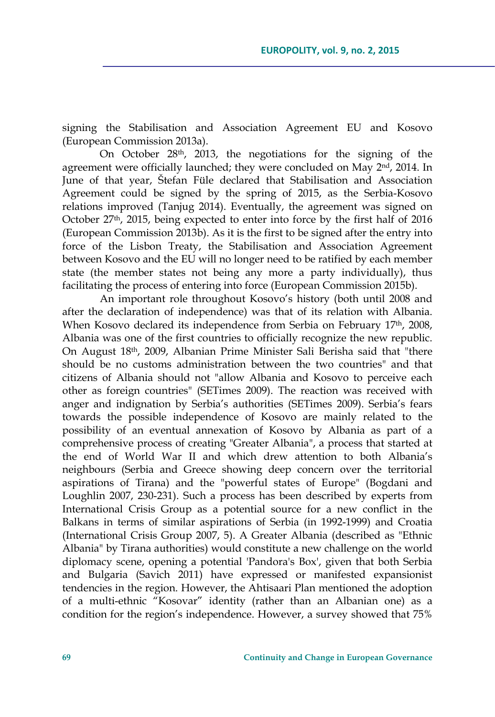signing the Stabilisation and Association Agreement EU and Kosovo (European Commission 2013a).

On October 28th, 2013, the negotiations for the signing of the agreement were officially launched; they were concluded on May 2<sup>nd</sup>, 2014. In June of that year, Štefan Füle declared that Stabilisation and Association Agreement could be signed by the spring of 2015, as the Serbia-Kosovo relations improved (Tanjug 2014). Eventually, the agreement was signed on October 27<sup>th</sup>, 2015, being expected to enter into force by the first half of 2016 (European Commission 2013b). As it is the first to be signed after the entry into force of the Lisbon Treaty, the Stabilisation and Association Agreement between Kosovo and the EU will no longer need to be ratified by each member state (the member states not being any more a party individually), thus facilitating the process of entering into force (European Commission 2015b).

An important role throughout Kosovo's history (both until 2008 and after the declaration of independence) was that of its relation with Albania. When Kosovo declared its independence from Serbia on February 17<sup>th</sup>, 2008, Albania was one of the first countries to officially recognize the new republic. On August 18th, 2009, Albanian Prime Minister Sali Berisha said that "there should be no customs administration between the two countries" and that citizens of Albania should not "allow Albania and Kosovo to perceive each other as foreign countries" (SETimes 2009). The reaction was received with anger and indignation by Serbia's authorities (SETimes 2009). Serbia's fears towards the possible independence of Kosovo are mainly related to the possibility of an eventual annexation of Kosovo by Albania as part of a comprehensive process of creating "Greater Albania", a process that started at the end of World War II and which drew attention to both Albania's neighbours (Serbia and Greece showing deep concern over the territorial aspirations of Tirana) and the "powerful states of Europe" (Bogdani and Loughlin 2007, 230-231). Such a process has been described by experts from International Crisis Group as a potential source for a new conflict in the Balkans in terms of similar aspirations of Serbia (in 1992-1999) and Croatia (International Crisis Group 2007, 5). A Greater Albania (described as "Ethnic Albania" by Tirana authorities) would constitute a new challenge on the world diplomacy scene, opening a potential 'Pandora's Box', given that both Serbia and Bulgaria (Savich 2011) have expressed or manifested expansionist tendencies in the region. However, the Ahtisaari Plan mentioned the adoption of a multi-ethnic "Kosovar" identity (rather than an Albanian one) as a condition for the region's independence. However, a survey showed that 75%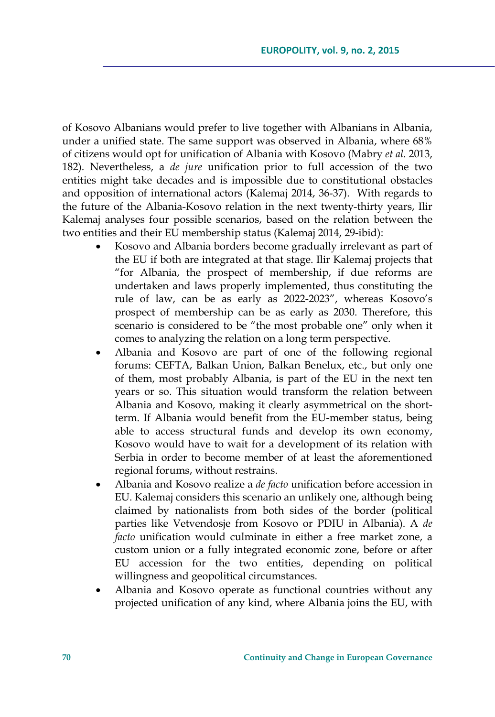of Kosovo Albanians would prefer to live together with Albanians in Albania, under a unified state. The same support was observed in Albania, where 68% of citizens would opt for unification of Albania with Kosovo (Mabry *et al*. 2013, 182). Nevertheless, a *de jure* unification prior to full accession of the two entities might take decades and is impossible due to constitutional obstacles and opposition of international actors (Kalemaj 2014, 36-37). With regards to the future of the Albania-Kosovo relation in the next twenty-thirty years, Ilir Kalemaj analyses four possible scenarios, based on the relation between the two entities and their EU membership status (Kalemaj 2014, 29-ibid):

- Kosovo and Albania borders become gradually irrelevant as part of the EU if both are integrated at that stage. Ilir Kalemaj projects that "for Albania, the prospect of membership, if due reforms are undertaken and laws properly implemented, thus constituting the rule of law, can be as early as 2022-2023", whereas Kosovo's prospect of membership can be as early as 2030. Therefore, this scenario is considered to be "the most probable one" only when it comes to analyzing the relation on a long term perspective.
- Albania and Kosovo are part of one of the following regional forums: CEFTA, Balkan Union, Balkan Benelux, etc., but only one of them, most probably Albania, is part of the EU in the next ten years or so. This situation would transform the relation between Albania and Kosovo, making it clearly asymmetrical on the shortterm. If Albania would benefit from the EU-member status, being able to access structural funds and develop its own economy, Kosovo would have to wait for a development of its relation with Serbia in order to become member of at least the aforementioned regional forums, without restrains.
- Albania and Kosovo realize a *de facto* unification before accession in EU. Kalemaj considers this scenario an unlikely one, although being claimed by nationalists from both sides of the border (political parties like Vetvendosje from Kosovo or PDIU in Albania). A *de facto* unification would culminate in either a free market zone, a custom union or a fully integrated economic zone, before or after EU accession for the two entities, depending on political willingness and geopolitical circumstances.
- Albania and Kosovo operate as functional countries without any projected unification of any kind, where Albania joins the EU, with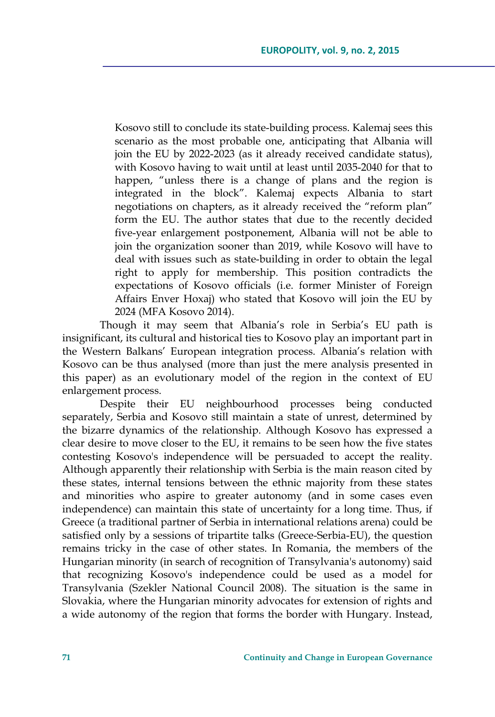Kosovo still to conclude its state-building process. Kalemaj sees this scenario as the most probable one, anticipating that Albania will join the EU by 2022-2023 (as it already received candidate status), with Kosovo having to wait until at least until 2035-2040 for that to happen, "unless there is a change of plans and the region is integrated in the block". Kalemaj expects Albania to start negotiations on chapters, as it already received the "reform plan" form the EU. The author states that due to the recently decided five-year enlargement postponement, Albania will not be able to join the organization sooner than 2019, while Kosovo will have to deal with issues such as state-building in order to obtain the legal right to apply for membership. This position contradicts the expectations of Kosovo officials (i.e. former Minister of Foreign Affairs Enver Hoxaj) who stated that Kosovo will join the EU by 2024 (MFA Kosovo 2014).

Though it may seem that Albania's role in Serbia's EU path is insignificant, its cultural and historical ties to Kosovo play an important part in the Western Balkans' European integration process. Albania's relation with Kosovo can be thus analysed (more than just the mere analysis presented in this paper) as an evolutionary model of the region in the context of EU enlargement process.

Despite their EU neighbourhood processes being conducted separately, Serbia and Kosovo still maintain a state of unrest, determined by the bizarre dynamics of the relationship. Although Kosovo has expressed a clear desire to move closer to the EU, it remains to be seen how the five states contesting Kosovo's independence will be persuaded to accept the reality. Although apparently their relationship with Serbia is the main reason cited by these states, internal tensions between the ethnic majority from these states and minorities who aspire to greater autonomy (and in some cases even independence) can maintain this state of uncertainty for a long time. Thus, if Greece (a traditional partner of Serbia in international relations arena) could be satisfied only by a sessions of tripartite talks (Greece-Serbia-EU), the question remains tricky in the case of other states. In Romania, the members of the Hungarian minority (in search of recognition of Transylvania's autonomy) said that recognizing Kosovo's independence could be used as a model for Transylvania (Szekler National Council 2008). The situation is the same in Slovakia, where the Hungarian minority advocates for extension of rights and a wide autonomy of the region that forms the border with Hungary. Instead,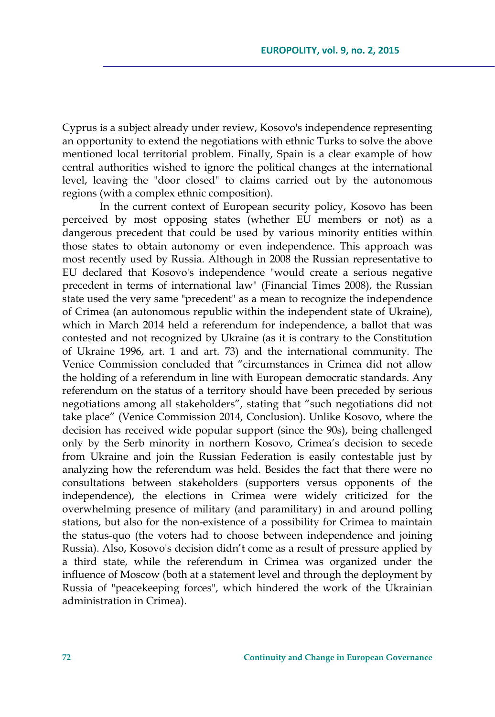Cyprus is a subject already under review, Kosovo's independence representing an opportunity to extend the negotiations with ethnic Turks to solve the above mentioned local territorial problem. Finally, Spain is a clear example of how central authorities wished to ignore the political changes at the international level, leaving the "door closed" to claims carried out by the autonomous regions (with a complex ethnic composition).

In the current context of European security policy, Kosovo has been perceived by most opposing states (whether EU members or not) as a dangerous precedent that could be used by various minority entities within those states to obtain autonomy or even independence. This approach was most recently used by Russia. Although in 2008 the Russian representative to EU declared that Kosovo's independence "would create a serious negative precedent in terms of international law" (Financial Times 2008), the Russian state used the very same "precedent" as a mean to recognize the independence of Crimea (an autonomous republic within the independent state of Ukraine), which in March 2014 held a referendum for independence, a ballot that was contested and not recognized by Ukraine (as it is contrary to the Constitution of Ukraine 1996, art. 1 and art. 73) and the international community. The Venice Commission concluded that "circumstances in Crimea did not allow the holding of a referendum in line with European democratic standards. Any referendum on the status of a territory should have been preceded by serious negotiations among all stakeholders", stating that "such negotiations did not take place" (Venice Commission 2014, Conclusion). Unlike Kosovo, where the decision has received wide popular support (since the 90s), being challenged only by the Serb minority in northern Kosovo, Crimea's decision to secede from Ukraine and join the Russian Federation is easily contestable just by analyzing how the referendum was held. Besides the fact that there were no consultations between stakeholders (supporters versus opponents of the independence), the elections in Crimea were widely criticized for the overwhelming presence of military (and paramilitary) in and around polling stations, but also for the non-existence of a possibility for Crimea to maintain the status-quo (the voters had to choose between independence and joining Russia). Also, Kosovo's decision didn't come as a result of pressure applied by a third state, while the referendum in Crimea was organized under the influence of Moscow (both at a statement level and through the deployment by Russia of "peacekeeping forces", which hindered the work of the Ukrainian administration in Crimea).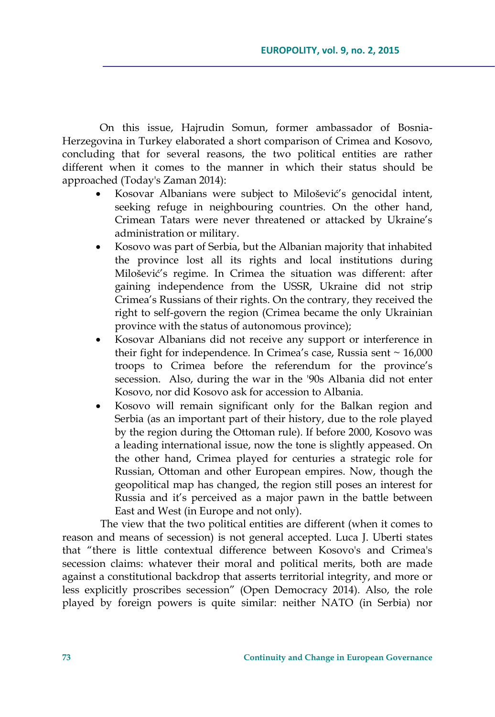On this issue, Hajrudin Somun, former ambassador of Bosnia-Herzegovina in Turkey elaborated a short comparison of Crimea and Kosovo, concluding that for several reasons, the two political entities are rather different when it comes to the manner in which their status should be approached (Today's Zaman 2014):

- Kosovar Albanians were subject to Milošević's genocidal intent, seeking refuge in neighbouring countries. On the other hand, Crimean Tatars were never threatened or attacked by Ukraine's administration or military.
- Kosovo was part of Serbia, but the Albanian majority that inhabited the province lost all its rights and local institutions during Milošević's regime. In Crimea the situation was different: after gaining independence from the USSR, Ukraine did not strip Crimea's Russians of their rights. On the contrary, they received the right to self-govern the region (Crimea became the only Ukrainian province with the status of autonomous province);
- Kosovar Albanians did not receive any support or interference in their fight for independence. In Crimea's case, Russia sent  $\sim 16,000$ troops to Crimea before the referendum for the province's secession. Also, during the war in the '90s Albania did not enter Kosovo, nor did Kosovo ask for accession to Albania.
- Kosovo will remain significant only for the Balkan region and Serbia (as an important part of their history, due to the role played by the region during the Ottoman rule). If before 2000, Kosovo was a leading international issue, now the tone is slightly appeased. On the other hand, Crimea played for centuries a strategic role for Russian, Ottoman and other European empires. Now, though the geopolitical map has changed, the region still poses an interest for Russia and it's perceived as a major pawn in the battle between East and West (in Europe and not only).

The view that the two political entities are different (when it comes to reason and means of secession) is not general accepted. Luca J. Uberti states that "there is little contextual difference between Kosovo's and Crimea's secession claims: whatever their moral and political merits, both are made against a constitutional backdrop that asserts territorial integrity, and more or less explicitly proscribes secession" (Open Democracy 2014). Also, the role played by foreign powers is quite similar: neither NATO (in Serbia) nor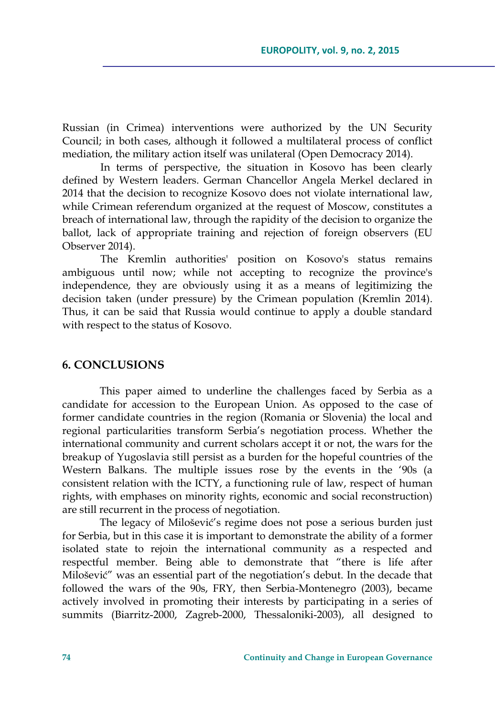Russian (in Crimea) interventions were authorized by the UN Security Council; in both cases, although it followed a multilateral process of conflict mediation, the military action itself was unilateral (Open Democracy 2014).

In terms of perspective, the situation in Kosovo has been clearly defined by Western leaders. German Chancellor Angela Merkel declared in 2014 that the decision to recognize Kosovo does not violate international law, while Crimean referendum organized at the request of Moscow, constitutes a breach of international law, through the rapidity of the decision to organize the ballot, lack of appropriate training and rejection of foreign observers (EU Observer 2014).

The Kremlin authorities' position on Kosovo's status remains ambiguous until now; while not accepting to recognize the province's independence, they are obviously using it as a means of legitimizing the decision taken (under pressure) by the Crimean population (Kremlin 2014). Thus, it can be said that Russia would continue to apply a double standard with respect to the status of Kosovo.

#### **6. CONCLUSIONS**

This paper aimed to underline the challenges faced by Serbia as a candidate for accession to the European Union. As opposed to the case of former candidate countries in the region (Romania or Slovenia) the local and regional particularities transform Serbia's negotiation process. Whether the international community and current scholars accept it or not, the wars for the breakup of Yugoslavia still persist as a burden for the hopeful countries of the Western Balkans. The multiple issues rose by the events in the '90s (a consistent relation with the ICTY, a functioning rule of law, respect of human rights, with emphases on minority rights, economic and social reconstruction) are still recurrent in the process of negotiation.

The legacy of Milošević's regime does not pose a serious burden just for Serbia, but in this case it is important to demonstrate the ability of a former isolated state to rejoin the international community as a respected and respectful member. Being able to demonstrate that "there is life after Milošević" was an essential part of the negotiation's debut. In the decade that followed the wars of the 90s, FRY, then Serbia-Montenegro (2003), became actively involved in promoting their interests by participating in a series of summits (Biarritz-2000, Zagreb-2000, Thessaloniki-2003), all designed to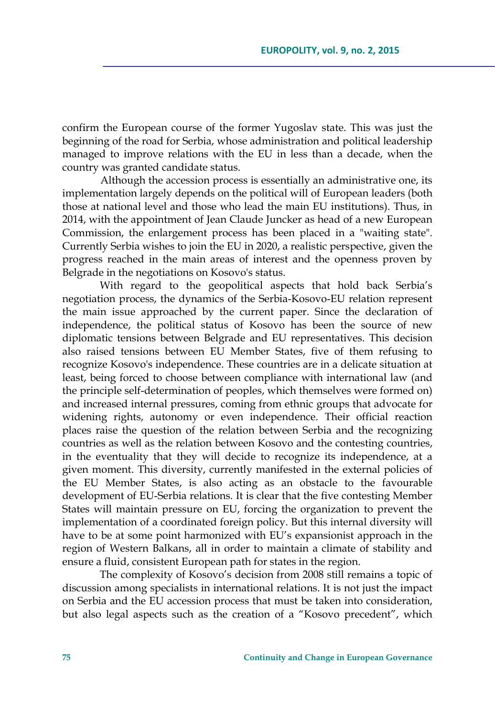confirm the European course of the former Yugoslav state. This was just the beginning of the road for Serbia, whose administration and political leadership managed to improve relations with the EU in less than a decade, when the country was granted candidate status.

Although the accession process is essentially an administrative one, its implementation largely depends on the political will of European leaders (both those at national level and those who lead the main EU institutions). Thus, in 2014, with the appointment of Jean Claude Juncker as head of a new European Commission, the enlargement process has been placed in a "waiting state". Currently Serbia wishes to join the EU in 2020, a realistic perspective, given the progress reached in the main areas of interest and the openness proven by Belgrade in the negotiations on Kosovo's status.

With regard to the geopolitical aspects that hold back Serbia's negotiation process, the dynamics of the Serbia-Kosovo-EU relation represent the main issue approached by the current paper. Since the declaration of independence, the political status of Kosovo has been the source of new diplomatic tensions between Belgrade and EU representatives. This decision also raised tensions between EU Member States, five of them refusing to recognize Kosovo's independence. These countries are in a delicate situation at least, being forced to choose between compliance with international law (and the principle self-determination of peoples, which themselves were formed on) and increased internal pressures, coming from ethnic groups that advocate for widening rights, autonomy or even independence. Their official reaction places raise the question of the relation between Serbia and the recognizing countries as well as the relation between Kosovo and the contesting countries, in the eventuality that they will decide to recognize its independence, at a given moment. This diversity, currently manifested in the external policies of the EU Member States, is also acting as an obstacle to the favourable development of EU-Serbia relations. It is clear that the five contesting Member States will maintain pressure on EU, forcing the organization to prevent the implementation of a coordinated foreign policy. But this internal diversity will have to be at some point harmonized with EU's expansionist approach in the region of Western Balkans, all in order to maintain a climate of stability and ensure a fluid, consistent European path for states in the region.

The complexity of Kosovo's decision from 2008 still remains a topic of discussion among specialists in international relations. It is not just the impact on Serbia and the EU accession process that must be taken into consideration, but also legal aspects such as the creation of a "Kosovo precedent", which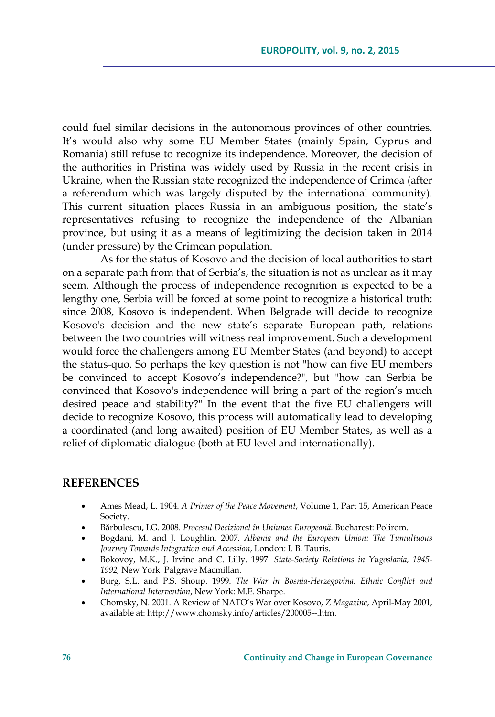could fuel similar decisions in the autonomous provinces of other countries. It's would also why some EU Member States (mainly Spain, Cyprus and Romania) still refuse to recognize its independence. Moreover, the decision of the authorities in Pristina was widely used by Russia in the recent crisis in Ukraine, when the Russian state recognized the independence of Crimea (after a referendum which was largely disputed by the international community). This current situation places Russia in an ambiguous position, the state's representatives refusing to recognize the independence of the Albanian province, but using it as a means of legitimizing the decision taken in 2014 (under pressure) by the Crimean population.

As for the status of Kosovo and the decision of local authorities to start on a separate path from that of Serbia's, the situation is not as unclear as it may seem. Although the process of independence recognition is expected to be a lengthy one, Serbia will be forced at some point to recognize a historical truth: since 2008, Kosovo is independent. When Belgrade will decide to recognize Kosovo's decision and the new state's separate European path, relations between the two countries will witness real improvement. Such a development would force the challengers among EU Member States (and beyond) to accept the status-quo. So perhaps the key question is not "how can five EU members be convinced to accept Kosovo's independence?", but "how can Serbia be convinced that Kosovo's independence will bring a part of the region's much desired peace and stability?" In the event that the five EU challengers will decide to recognize Kosovo, this process will automatically lead to developing a coordinated (and long awaited) position of EU Member States, as well as a relief of diplomatic dialogue (both at EU level and internationally).

#### **REFERENCES**

- Ames Mead, L. 1904. *A Primer of the Peace Movement*, Volume 1, Part 15, American Peace Society.
- Bărbulescu, I.G. 2008. *Procesul Decizional în Uniunea Europeană*. Bucharest: Polirom.
- Bogdani, M. and J. Loughlin. 2007. *Albania and the European Union: The Tumultuous Journey Towards Integration and Accession*, London: I. B. Tauris.
- Bokovoy, M.K., J. Irvine and C. Lilly. 1997. *State-Society Relations in Yugoslavia, 1945- 1992,* New York: Palgrave Macmillan.
- Burg, S.L. and P.S. Shoup. 1999. *The War in Bosnia-Herzegovina: Ethnic Conflict and International Intervention*, New York: M.E. Sharpe.
- Chomsky, N. 2001. A Review of NATO's War over Kosovo, *Z Magazine*, April-May 2001, available at: http://www.chomsky.info/articles/200005--.htm.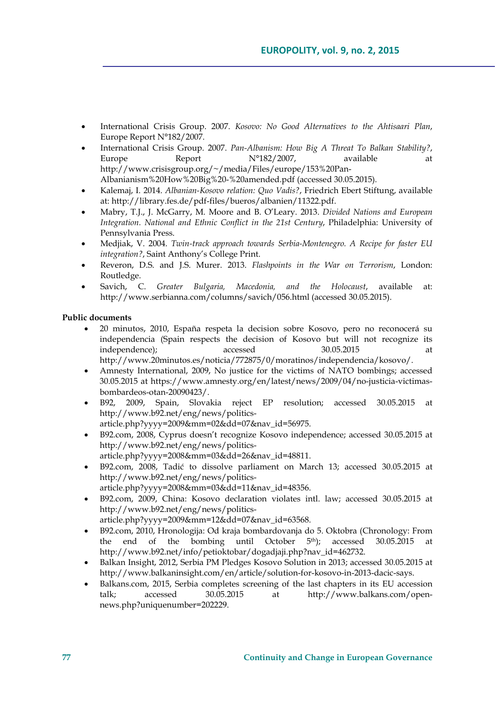- International Crisis Group. 2007. *Kosovo: No Good Alternatives to the Ahtisaari Plan*, Europe Report N°182/2007.
- International Crisis Group. 2007. *Pan-Albanism: How Big A Threat To Balkan Stability?*, Europe Report  $N^{\circ}182/2007$ , available at http://www.crisisgroup.org/~/media/Files/europe/153%20Pan-Albanianism%20How%20Big%20-%20amended.pdf (accessed 30.05.2015).
- Kalemaj, I. 2014. *Albanian-Kosovo relation: Quo Vadis?*, Friedrich Ebert Stiftung, available at: http://library.fes.de/pdf-files/bueros/albanien/11322.pdf.
- Mabry, T.J., J. McGarry, M. Moore and B. O'Leary. 2013. *Divided Nations and European Integration. National and Ethnic Conflict in the 21st Century*, Philadelphia: University of Pennsylvania Press.
- Medjiak, V. 2004. *Twin-track approach towards Serbia-Montenegro. A Recipe for faster EU integration?*, Saint Anthony's College Print.
- Reveron, D.S. and J.S. Murer. 2013. *Flashpoints in the War on Terrorism*, London: Routledge.
- Savich, C. *Greater Bulgaria, Macedonia, and the Holocaust*, available at: http://www.serbianna.com/columns/savich/056.html (accessed 30.05.2015).

#### **Public documents**

- 20 minutos, 2010, España respeta la decision sobre Kosovo, pero no reconocerá su independencia (Spain respects the decision of Kosovo but will not recognize its independence); accessed 30.05.2015 at http://www.20minutos.es/noticia/772875/0/moratinos/independencia/kosovo/.
- Amnesty International, 2009, No justice for the victims of NATO bombings; accessed 30.05.2015 at https://www.amnesty.org/en/latest/news/2009/04/no-justicia-victimasbombardeos-otan-20090423/.
- B92, 2009, Spain, Slovakia reject EP resolution; accessed 30.05.2015 at http://www.b92.net/eng/news/politics-
- article.php?yyyy=2009&mm=02&dd=07&nav\_id=56975. B92.com, 2008, Cyprus doesn't recognize Kosovo independence; accessed 30.05.2015 at
- http://www.b92.net/eng/news/politicsarticle.php?yyyy=2008&mm=03&dd=26&nav\_id=48811.
- B92.com, 2008, Tadić to dissolve parliament on March 13; accessed 30.05.2015 at http://www.b92.net/eng/news/politicsarticle.php?yyyy=2008&mm=03&dd=11&nav\_id=48356.
- B92.com, 2009, China: Kosovo declaration violates intl. law; accessed 30.05.2015 at http://www.b92.net/eng/news/politics-
- article.php?yyyy=2009&mm=12&dd=07&nav\_id=63568. B92.com, 2010, Hronologija: Od kraja bombardovanja do 5. Oktobra (Chronology: From
- the end of the bombing until October 5th); accessed 30.05.2015 at http://www.b92.net/info/petioktobar/dogadjaji.php?nav\_id=462732.
- Balkan Insight, 2012, Serbia PM Pledges Kosovo Solution in 2013; accessed 30.05.2015 at http://www.balkaninsight.com/en/article/solution-for-kosovo-in-2013-dacic-says.
- Balkans.com, 2015, Serbia completes screening of the last chapters in its EU accession talk; accessed 30.05.2015 at http://www.balkans.com/opennews.php?uniquenumber=202229.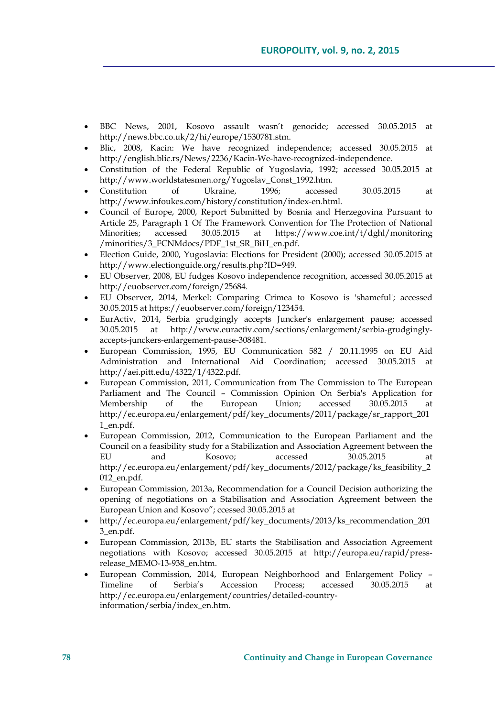- BBC News, 2001, Kosovo assault wasn't genocide; accessed 30.05.2015 at http://news.bbc.co.uk/2/hi/europe/1530781.stm.
- Blic, 2008, Kacin: We have recognized independence; accessed 30.05.2015 at http://english.blic.rs/News/2236/Kacin-We-have-recognized-independence.
- Constitution of the Federal Republic of Yugoslavia, 1992; accessed 30.05.2015 at http://www.worldstatesmen.org/Yugoslav\_Const\_1992.htm.
- Constitution of Ukraine, 1996; accessed 30.05.2015 at http://www.infoukes.com/history/constitution/index-en.html.
- Council of Europe, 2000, Report Submitted by Bosnia and Herzegovina Pursuant to Article 25, Paragraph 1 Of The Framework Convention for The Protection of National Minorities; accessed 30.05.2015 at https://www.coe.int/t/dghl/monitoring /minorities/3\_FCNMdocs/PDF\_1st\_SR\_BiH\_en.pdf.
- Election Guide, 2000, Yugoslavia: Elections for President (2000); accessed 30.05.2015 at http://www.electionguide.org/results.php?ID=949.
- EU Observer, 2008, EU fudges Kosovo independence recognition, accessed 30.05.2015 at http://euobserver.com/foreign/25684.
- EU Observer, 2014, Merkel: Comparing Crimea to Kosovo is 'shameful'; accessed 30.05.2015 at https://euobserver.com/foreign/123454.
- EurActiv, 2014, Serbia grudgingly accepts Juncker's enlargement pause; accessed 30.05.2015 at http://www.euractiv.com/sections/enlargement/serbia-grudginglyaccepts-junckers-enlargement-pause-308481.
- European Commission, 1995, EU Communication 582 / 20.11.1995 on EU Aid Administration and International Aid Coordination; accessed 30.05.2015 at http://aei.pitt.edu/4322/1/4322.pdf.
- European Commission, 2011, Communication from The Commission to The European Parliament and The Council – Commission Opinion On Serbia's Application for Membership of the European Union; accessed 30.05.2015 at http://ec.europa.eu/enlargement/pdf/key\_documents/2011/package/sr\_rapport\_201 1\_en.pdf.
- European Commission, 2012, Communication to the European Parliament and the Council on a feasibility study for a Stabilization and Association Agreement between the EU and Kosovo; accessed 30.05.2015 at http://ec.europa.eu/enlargement/pdf/key\_documents/2012/package/ks\_feasibility\_2 012\_en.pdf.
- European Commission, 2013a, Recommendation for a Council Decision authorizing the opening of negotiations on a Stabilisation and Association Agreement between the European Union and Kosovo"; ccessed 30.05.2015 at
- http://ec.europa.eu/enlargement/pdf/key\_documents/2013/ks\_recommendation\_201 3\_en.pdf.
- European Commission, 2013b, EU starts the Stabilisation and Association Agreement negotiations with Kosovo; accessed 30.05.2015 at http://europa.eu/rapid/pressrelease\_MEMO-13-938\_en.htm.
- European Commission, 2014, European Neighborhood and Enlargement Policy Timeline of Serbia's Accession Process; accessed 30.05.2015 at http://ec.europa.eu/enlargement/countries/detailed-countryinformation/serbia/index\_en.htm.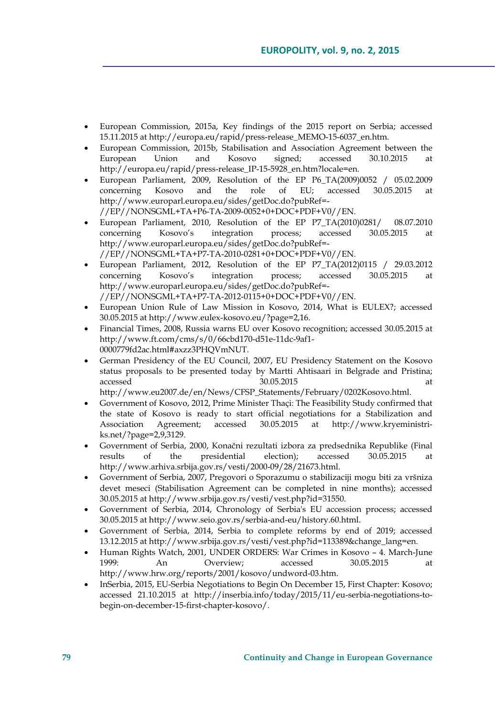- European Commission, 2015a, Key findings of the 2015 report on Serbia; accessed 15.11.2015 at http://europa.eu/rapid/press-release\_MEMO-15-6037\_en.htm.
- European Commission, 2015b, Stabilisation and Association Agreement between the European Union and Kosovo signed; accessed 30.10.2015 at http://europa.eu/rapid/press-release\_IP-15-5928\_en.htm?locale=en.
- European Parliament, 2009, Resolution of the EP P6\_TA(2009)0052 / 05.02.2009 concerning Kosovo and the role of EU; accessed 30.05.2015 at http://www.europarl.europa.eu/sides/getDoc.do?pubRef=- //EP//NONSGML+TA+P6-TA-2009-0052+0+DOC+PDF+V0//EN.
- European Parliament, 2010, Resolution of the EP P7\_TA(2010)0281/ 08.07.2010 concerning Kosovo's integration process; accessed 30.05.2015 at http://www.europarl.europa.eu/sides/getDoc.do?pubRef=- //EP//NONSGML+TA+P7-TA-2010-0281+0+DOC+PDF+V0//EN.
- European Parliament, 2012, Resolution of the EP P7\_TA(2012)0115 / 29.03.2012 concerning Kosovo's integration process; accessed 30.05.2015 at http://www.europarl.europa.eu/sides/getDoc.do?pubRef=- //EP//NONSGML+TA+P7-TA-2012-0115+0+DOC+PDF+V0//EN.
- European Union Rule of Law Mission in Kosovo, 2014, What is EULEX?; accessed 30.05.2015 at http://www.eulex-kosovo.eu/?page=2,16.
- Financial Times, 2008, Russia warns EU over Kosovo recognition; accessed 30.05.2015 at http://www.ft.com/cms/s/0/66cbd170-d51e-11dc-9af1- 0000779fd2ac.html#axzz3PHQVmNUT.
- German Presidency of the EU Council, 2007, EU Presidency Statement on the Kosovo status proposals to be presented today by Martti Ahtisaari in Belgrade and Pristina; accessed 30.05.2015 at http://www.eu2007.de/en/News/CFSP\_Statements/February/0202Kosovo.html.
- Government of Kosovo, 2012, Prime Minister Thaçi: The Feasibility Study confirmed that the state of Kosovo is ready to start official negotiations for a Stabilization and Association Agreement; accessed 30.05.2015 at http://www.kryeministriks.net/?page=2,9,3129.
- Government of Serbia, 2000, Konačni rezultati izbora za predsednika Republike (Final results of the presidential election); accessed 30.05.2015 at http://www.arhiva.srbija.gov.rs/vesti/2000-09/28/21673.html.
- Government of Serbia, 2007, Pregovori o Sporazumu o stabilizaciji mogu biti za vršniza devet meseci (Stabilisation Agreement can be completed in nine months); accessed 30.05.2015 at http://www.srbija.gov.rs/vesti/vest.php?id=31550.
- Government of Serbia, 2014, Chronology of Serbia's EU accession process; accessed 30.05.2015 at http://www.seio.gov.rs/serbia-and-eu/history.60.html.
- Government of Serbia, 2014, Serbia to complete reforms by end of 2019; accessed 13.12.2015 at http://www.srbija.gov.rs/vesti/vest.php?id=113389&change\_lang=en.
- Human Rights Watch, 2001, UNDER ORDERS: War Crimes in Kosovo 4. March-June 1999: An Overview; accessed 30.05.2015 at http://www.hrw.org/reports/2001/kosovo/undword-03.htm.
- InSerbia, 2015, EU-Serbia Negotiations to Begin On December 15, First Chapter: Kosovo; accessed 21.10.2015 at http://inserbia.info/today/2015/11/eu-serbia-negotiations-tobegin-on-december-15-first-chapter-kosovo/.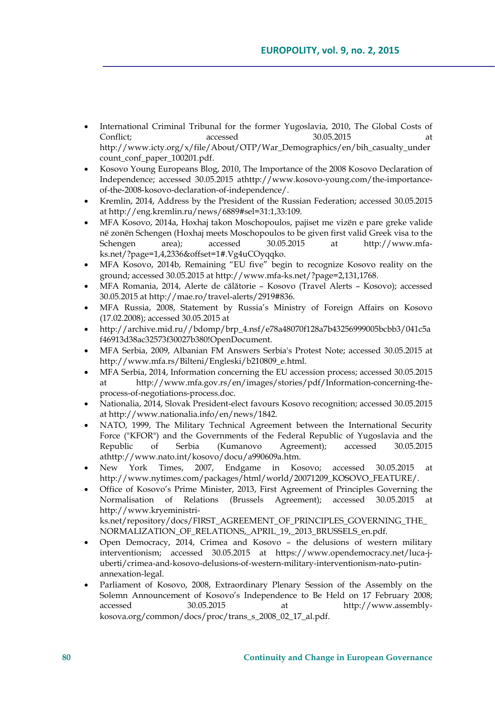- International Criminal Tribunal for the former Yugoslavia, 2010, The Global Costs of Conflict; accessed 30.05.2015 at http://www.icty.org/x/file/About/OTP/War\_Demographics/en/bih\_casualty\_under count\_conf\_paper\_100201.pdf.
- Kosovo Young Europeans Blog, 2010, The Importance of the 2008 Kosovo Declaration of Independence; accessed 30.05.2015 athttp://www.kosovo-young.com/the-importanceof-the-2008-kosovo-declaration-of-independence/.
- Kremlin, 2014, Address by the President of the Russian Federation; accessed 30.05.2015 at http://eng.kremlin.ru/news/6889#sel=31:1,33:109.
- MFA Kosovo, 2014a, Hoxhaj takon Moschopoulos, pajiset me vizën e pare greke valide në zonën Schengen (Hoxhaj meets Moschopoulos to be given first valid Greek visa to the Schengen area); accessed 30.05.2015 at http://www.mfaks.net/?page=1,4,2336&offset=1#.Vg4uCOyqqko.
- MFA Kosovo, 2014b, Remaining "EU five" begin to recognize Kosovo reality on the ground; accessed 30.05.2015 at http://www.mfa-ks.net/?page=2,131,1768.
- MFA Romania, 2014, Alerte de călătorie Kosovo (Travel Alerts Kosovo); accessed 30.05.2015 at http://mae.ro/travel-alerts/2919#836.
- MFA Russia, 2008, Statement by Russia's Ministry of Foreign Affairs on Kosovo (17.02.2008); accessed 30.05.2015 at
- http://archive.mid.ru//bdomp/brp\_4.nsf/e78a48070f128a7b43256999005bcbb3/041c5a f46913d38ac32573f30027b380!OpenDocument.
- MFA Serbia, 2009, Albanian FM Answers Serbia's Protest Note; accessed 30.05.2015 at http://www.mfa.rs/Bilteni/Engleski/b210809\_e.html.
- MFA Serbia, 2014, Information concerning the EU accession process; accessed 30.05.2015 at http://www.mfa.gov.rs/en/images/stories/pdf/Information-concerning-theprocess-of-negotiations-process.doc.
- Nationalia, 2014, Slovak President-elect favours Kosovo recognition; accessed 30.05.2015 at http://www.nationalia.info/en/news/1842.
- NATO, 1999, The Military Technical Agreement between the International Security Force ("KFOR") and the Governments of the Federal Republic of Yugoslavia and the Republic of Serbia (Kumanovo Agreement); accessed 30.05.2015 athttp://www.nato.int/kosovo/docu/a990609a.htm.
- New York Times, 2007, Endgame in Kosovo; accessed 30.05.2015 at http://www.nytimes.com/packages/html/world/20071209\_KOSOVO\_FEATURE/.
- Office of Kosovo's Prime Minister, 2013, First Agreement of Principles Governing the Normalisation of Relations (Brussels Agreement); accessed 30.05.2015 at http://www.kryeministriks.net/repository/docs/FIRST\_AGREEMENT\_OF\_PRINCIPLES\_GOVERNING\_THE\_ NORMALIZATION\_OF\_RELATIONS,\_APRIL\_19,\_2013\_BRUSSELS\_en.pdf.
- Open Democracy, 2014, Crimea and Kosovo the delusions of western military interventionism; accessed 30.05.2015 at https://www.opendemocracy.net/luca-juberti/crimea-and-kosovo-delusions-of-western-military-interventionism-nato-putinannexation-legal.
- Parliament of Kosovo, 2008, Extraordinary Plenary Session of the Assembly on the Solemn Announcement of Kosovo's Independence to Be Held on 17 February 2008; accessed 30.05.2015 at http://www.assemblykosova.org/common/docs/proc/trans\_s\_2008\_02\_17\_al.pdf.